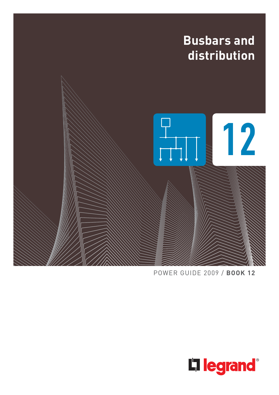

POWER GUIDE 2009 / **BOOK 12**

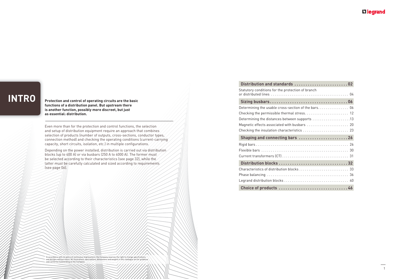# **INTRO**

**Protection and control of operating circuits are the basic functions of a distribution panel. But upstream there is another function, possibly more discreet, but just as essential: distribution.**

Even more than for the protection and control functions, the selection and setup of distribution equipment require an approach that combines selection of products (number of outputs, cross-sections, conductor types, connection method) and checking the operating conditions (current-carrying capacity, short circuits, isolation, etc.) in multiple configurations.

Depending on the power installed, distribution is carried out via distribution, blocks (up to 400 A) or via busbars (250 A to 4000 A). The former must be selected according to their characteristics (see page 32), while the latter must be carefully calculated and sized according to requirements (see page 06).

#### In accordance with its policy of continuous improvement, the Company reserves the right to change specifications<br>and designs without notice. All illustrations, descriptions, dimensions and weights in this catalogue are for and cannot be held binding on the Compan

| Distribution and standards 02                       |
|-----------------------------------------------------|
| Statutory conditions for the protection of branch   |
|                                                     |
| Determining the usable cross-section of the bars 06 |
|                                                     |
| Determining the distances between supports 13       |
|                                                     |
|                                                     |
| Shaping and connecting bars  26                     |
|                                                     |
|                                                     |
|                                                     |
|                                                     |
|                                                     |
|                                                     |
|                                                     |
|                                                     |

| Distribution and standards 02                                                                 |
|-----------------------------------------------------------------------------------------------|
| Statutory conditions for the protection of branch                                             |
|                                                                                               |
| Determining the usable cross-section of the bars. 06                                          |
|                                                                                               |
| Determining the distances between supports $\,\dots\, \dots\, \dots\, \dots\, \dots\, 13$     |
|                                                                                               |
| Checking the insulation characteristics $\ldots \ldots \ldots \ldots \ldots \ldots \ldots$ 23 |
| Shaping and connecting bars  26                                                               |
|                                                                                               |
|                                                                                               |
|                                                                                               |
|                                                                                               |
|                                                                                               |
|                                                                                               |
|                                                                                               |
|                                                                                               |

### **L'Ilegrand**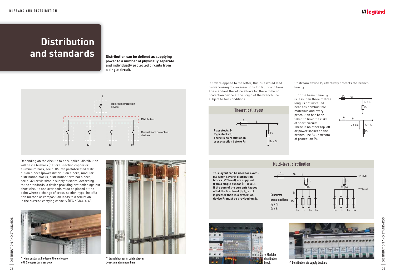# **Distribution**  and standards *Distribution can be defined as supplying*



**power to a number of physically separate and individually protected circuits from a single circuit.**



 $\ldots$  or the branch line S<sub>2</sub> is less than three metres long, is not installed near any combustible materials and every precaution has been taken to limit the risks of short circuits. There is no other tap-off or power socket on the branch line S<sub>2</sub> upstream of protection P2.

If it were applied to the letter, this rule would lead to over-sizing of cross-sections for fault conditions. The standard therefore allows for there to be no protection device at the origin of the branch line subject to two conditions.









Multi-level distribution



**This layout can be used for example when several distribution blocks (2nd level) are supplied from a single busbar (1st level). If the sum of the currents tapped off at the first level (I1, I2, etc.) is greater than It, a protection device P2 must be provided on S2.**

**^** Main busbar at the top of the enclosure with 2 copper bars per pole



**^** Branch busbar in cable sleeve: C-section aluminium bars

Depending on the circuits to be supplied, distribution will be via busbars (flat or C-section copper or aluminium bars, see p. 06), via prefabricated distribution blocks (power distribution blocks, modular distribution blocks, distribution terminal blocks, see p. 32) or via simple supply busbars. According to the standards, a device providing protection against short circuits and overloads must be placed at the point where a change of cross-section, type, installation method or composition leads to a reduction in the current-carrying capacity (IEC 60364-4-43).



 $\uparrow$  Distribution via supply busbars

### L<sub>legrand</sub>

Upstream device  $P_1$  effectively protects the branch  $line S_2$ ...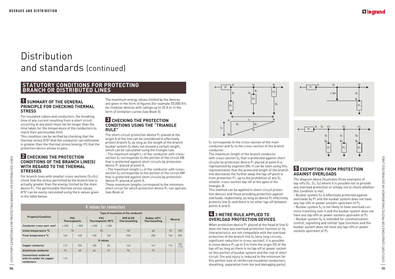# **Distribution** and standards (continued)

#### **STATUTORY CONDITIONS FOR PROTECTING BRANCH OR DISTRIBUTED LINES**

#### **1 SUMMARY OF THE GENERAL PRINCIPLE FOR CHECKING THERMAL STRESS**

#### **2** CHECKING THE PROTECTION **CONDITIONS OF THE BRANCH LINE(S) WITH REGARD TO THE THERMAL STRESSES**

For insulated cables and conductors, the breaking time of any current resulting from a short circuit occurring at any point must not be longer than the time taken for the temperature of the conductors to reach their permissible limit.

For branch lines with smaller cross-sections  $(S_2 < S_1)$ , check that the stress permitted by the branch line is actually greater than the energy limited by the main device  $P_1$ . The permissible thermal stress values K²S² can be easily calculated using the k values given in the table below:

This condition can be verified by checking that the thermal stress K²S² that the conductor can withstand is greater than the thermal stress (energy I²t) that the protection device allows to pass.

#### **3** CHECKING THE PROTECTION **CONDITIONS USING THE "TRIANGLE RULE"**

The short-circuit protection device  $P_1$  placed at the origin A of the line can be considered to effectively protect branch  $S_2$  as long as the length of the branch busbar system  $S_2$  does not exceed a certain length, which can be calculated using the triangle rule. - The maximum length  $L_1$  of the conductor with cross-

section S<sub>1</sub> corresponds to the portion of the circuit AB that is protected against short circuits by protection device P1 placed at point A.

- The maximum length L<sub>2</sub> of the conductor with crosssection S<sub>2</sub> corresponds to the portion of the circuit AM that is protected against short circuits by protection device  $P_1$  placed at point A.

S<sub>1</sub> corresponds to the cross-section of the main conductor and  $S_2$  to the cross-section of the branch conductor.

The maximum energy values limited by the devices are given in the form of figures (for example 55,000 A<sup>2</sup>s for modular devices with ratings up to 32 A or in the form of limitation curves (see Book 5).

> When protection device  $P_1$  placed at the head of line  $S_1$ does not have any overload protection function or its characteristics are not compatible with the overload protection of the branch line  $S_2$  (very long circuits, significant reduction in cross-section), it is possible to move device  $P_2$  up to 3 m from the origin  $[0]$  of the tap-off as long as there is no tap-off or power socket on this portion of busbar system and the risk of short circuit, fire and injury is reduced to the minimum for this portion (use of reinforced insulation conductors, sheathing, separation from hot and damaging parts).

OR DISTRIBUTED LINES

## L<sub>leqrand</sub>

#### **5 EXEMPTION FROM PROTECTION AGAINST OVERLOADS**

These maximum lengths correspond to the minimum short circuit for which protection device  $P_1$  can operate (see Book 4).

The maximum length of the branch conductor with cross-section  $S_2$  that is protected against short circuits by protection device  $P_1$  placed at point A is represented by segment ON. It can be seen using this representation that the protected length of the branch line decreases the further away the tap-off point is from protection  $P_1$ , up to the prohibition of any  $S_2$ smaller cross-section tap-off at the apex of the triangle, B.

This method can be applied to short-circuit protection devices and those providing protection against overloads respectively, as long as device  $P_2$  effectively protects line  $S_2$  and there is no other tap-off between points A and O.

#### **4 3 METRE RULE APPLIED TO OVERLOAD PROTECTION DEVICES**

The diagram above illustrates three examples of tap-offs (S1, S2, S3) where it is possible not to provide any overload protection or simply not to check whether this condition is met.

- Busbar system S<sub>2</sub> is effectively protected against overloads by P1 and the busbar system does not have any tap-offs or power sockets upstream of  $P_2$ 

- Busbar system  $S_3$  is not likely to have overload currents travelling over it and the busbar system does not have any tap-offs or power sockets upstream of  $P_3$  $-$  Busbar system  $S_4$  is intended for communication, control, signalling and similar type functions and the busbar system does not have any tap-offs or power sockets upstream of P<sub>/</sub>.

STATUTORY CONDITIONS FOR PROTECTING BRANCH OR DISTRIBUTED LINES STATUTORY CONDITIONS FOR PROTECTING BRANCH OR DISTRIBUTED LINES  $\overline{\phantom{0}}$ 

| <b>K</b> values for conductors                                          |                                     |                          |                                  |                 |                                         |                                     |                          |                |  |
|-------------------------------------------------------------------------|-------------------------------------|--------------------------|----------------------------------|-----------------|-----------------------------------------|-------------------------------------|--------------------------|----------------|--|
| <b>Property/Condition</b>                                               | Type of insulation of the conductor |                          |                                  |                 |                                         |                                     |                          |                |  |
|                                                                         | <b>PVC</b><br><b>Thermoplastic</b>  |                          | <b>PVC</b><br>Thermoplastic 90°C |                 | <b>EPR XLPE</b><br><b>Thermosetting</b> | Rubber 60°C<br><b>Thermosetting</b> |                          | <b>Mineral</b> |  |
| Conductor cross-sect. mm <sup>2</sup>                                   | $\leq 300$                          | > 300                    | $\leq 300$                       | > 300           |                                         |                                     |                          |                |  |
| Initial temperature °C                                                  |                                     | 70                       | 90                               |                 | 90                                      | 60                                  | 70                       | 105            |  |
| Final temperature °C                                                    | 160                                 | 140                      | 160                              | 140             | 250                                     | 200                                 | 160                      | 250            |  |
|                                                                         |                                     |                          |                                  | <b>K</b> values |                                         |                                     |                          |                |  |
| <b>Copper conductor</b>                                                 | 115                                 | 103                      | 100                              | 86              | 143                                     | 141                                 | 115                      | 135<br>$-115$  |  |
| Aluminium conductor                                                     | 76                                  | 68                       | 66                               | 57              | 94                                      | 93                                  | $\overline{\phantom{0}}$ | -              |  |
| <b>Connections soldered</b><br>with tin solder for copper<br>conductors | 115                                 | $\overline{\phantom{0}}$ | $\overline{\phantom{0}}$         |                 | $\overline{a}$                          |                                     | $\overline{\phantom{0}}$ | -              |  |



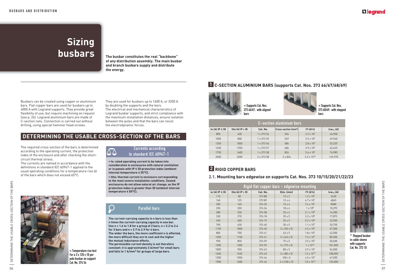# **Sizing busbars The busbar constitutes the real "backbone"**

**of any distribution assembly. The main busbar and branch busbars supply and distribute the energy.** 

### **DETERMINING THE USABLE CROSS-SECTION OF THE BARS**

 $\Delta \Delta$ 

 $\bigcup$ 

The required cross-section of the bars is determined according to the operating current, the protection index of the enclosure and after checking the shortcircuit thermal stress.

 $\bullet$  le: rated operating current to be taken into **consideration in enclosures with natural ventilation or in panels with IP < 30 protection index (ambient internal temperature < 25°C).**

• Ithe: thermal current in enclosure corresponding **to the most severe installation conditions. Sealed enclosures do not allow natural air change, as the IP protection index is greater than 30 (ambient internal temperature < 50°C).**



The currents are named in accordance with the definitions in standard IEC 60947-1 applied to the usual operating conditions for a temperature rise At of the bars which does not exceed 65°C.

> **<** Temperature rise test **f**or a 3 x 120 x 10 per pole busbar on support Cat. No. 374 54

#### Currents according to standard IEC 60947-1

**The current-carrying capacity in n bars is less than n times the current-carrying capacity in one bar. Use n = 1.6 to 1.8 for a group of 2 bars, n = 2.2 to 2.4 for 3 bars and n = 2.7 to 2.9 for 4 bars.**

**The wider the bars, the more coefficient n is affected, the more difficult they are to cool and the higher the mutual inductance effects.**

**The permissible current density is not therefore**  constant: it is approximately 3 A/mm<sup>2</sup> for small bars **and falls to 1 A/mm2 for groups of large bars.**

### Parallel bars

# **2 RIGID COPPER BARS**

#### **2.1. Mounting bars edgewise on supports Cat. Nos. 373 10/15/20/21/22/23**

|                       | Rigid flat copper bars - edgewise mounting |          |                           |                      |                |  |  |
|-----------------------|--------------------------------------------|----------|---------------------------|----------------------|----------------|--|--|
| le $(A)$ IP $\leq 30$ | Ithe $(A)$ IP $> 30$                       | Cat. No. | Dim. (mm)                 | $l^2t(A^2s)$         | $lcw_{1s}$ (A) |  |  |
| 110                   | 80                                         | 373 88   | $12 \times 2$             | $1.2 \times 10^{7}$  | 3430           |  |  |
| 160                   | 125                                        | 37389    | $12 \times 4$             | $4.7 \times 10^{7}$  | 6865           |  |  |
| 200                   | 160                                        | 374 33   | $15 \times 4$             | $7.4 \times 10^{7}$  | 8580           |  |  |
| 250                   | 200                                        | 374 34   | $18 \times 4$             | $1 \times 10^8$      | 10,295         |  |  |
| 280                   | 250                                        | 374 38   | $25 \times 4$             | $2.1 \times 10^8$    | 14,300         |  |  |
| 330                   | 270                                        | 374 18   | $25 \times 5$             | $3.2 \times 10^8$    | 17,875         |  |  |
| 450                   | 400                                        | 374 19   | $32 \times 5$             | $5.2 \times 10^8$    | 22,900         |  |  |
| 700                   | 630                                        | 374 40   | $50 \times 5$             | $1.1 \times 10^{9}$  | 33,750         |  |  |
| 1150                  | 1000                                       | 374 40   | $2 \times (50 \times 5)$  | 4.5 x $10^{9}$       | 67,500         |  |  |
| 800                   | 700                                        | 374 41   | 63 x 5                    | $1.8 \times 10^{9}$  | 42,500         |  |  |
| 1350                  | 1150                                       | 374 41   | $2 \times 63 \times 5$    | $7.2 \times 10^{9}$  | 85,500         |  |  |
| 950                   | 850                                        | 374 59   | $75 \times 5$             | $2.5 \times 10^{9}$  | 50,600         |  |  |
| 1500                  | 1300                                       | 374 59   | $2 \times (75 \times 5)$  | $1 \times 10^{10}$   | 101,000        |  |  |
| 1000                  | 900                                        | 374 43   | $80 \times 5$             | $2.9 \times 10^{9}$  | 54,000         |  |  |
| 1650                  | 1450                                       | 374 43   | $2 \times (80 \times 5)$  | $1.2 \times 10^{10}$ | 108,000        |  |  |
| 1200                  | 1050                                       | 374 46   | $100 \times 5$            | 4.5 x $10^{9}$       | 67,500         |  |  |
| 1900                  | 1600                                       | 374 46   | $2 \times (100 \times 5)$ | $1.8 \times 10^{10}$ | 135,000        |  |  |

### **L'I legrand**



|                       | <b>C-section aluminium bars</b> |            |                                                      |                                    |                |  |  |  |
|-----------------------|---------------------------------|------------|------------------------------------------------------|------------------------------------|----------------|--|--|--|
| le $(A)$ IP $\leq 30$ | Ithe $(A)$ IP $>$ 30            | Cat. No.   | $ {\mathsf{Cross\text{-}section}\,(\mathsf{mm^2})} $ | I <sup>2</sup> t[A <sup>2</sup> s] | $lcw_{1s}$ (A) |  |  |  |
| 800                   | 630                             | 1 x 373 54 | 524                                                  | $2.2 \times 10^{9}$                | 46,900         |  |  |  |
| 1000                  | 800                             | 1 x 373 55 | 549                                                  | $2.5 \times 10^{9}$                | 49,960         |  |  |  |
| 1250                  | 1000                            | 1 x 373 56 | 586                                                  | $2.8 \times 10^{9}$                | 53,325         |  |  |  |
| 1450                  | 1250                            | 1 x 373 57 | 686                                                  | $3.9 \times 10^{9}$                | 62,425         |  |  |  |
| 1750                  | 1600                            | 1 x 373 58 | 824                                                  | 5.6 x $10^{9}$                     | 74.985         |  |  |  |
| 3500                  | 3200                            | 2 x 373 58 | $2 \times 824$                                       | $2.2 \times 10^{10}$               | 149,970        |  |  |  |

Busbars can be created using copper or aluminium bars. Flat copper bars are used for busbars up to 4000 A with Legrand supports. They provide great flexibility of use, but require machining on request (see p. 26). Legrand aluminium bars are made of C-section rails. Connection is carried out without drilling, using special hammer head screws.

They are used for busbars up to 1600 A, or 3200 A by doubling the supports and the bars. The electrical and mechanical characteristics of Legrand busbar supports, and strict compliance with the maximum installation distances, ensure isolation between the poles and that the bars can resist the electrodynamic forces.

### **1 C-SECTION ALUMINIUM BARS (supports Cat. Nos. 373 66/67/68/69)**



**<** Supports Cat. Nos. 373 66/67: with aligned bars

**<** Supports Cat. Nos. 373 68/69: with stepped bars



**^** Stepped busbar in cable sleeve with supports Cat. No. 373 10

DETERMINING THE USABLE CROSS-SECTION OF THE BARS 07DETERMINING THE USABLE CROSS-SECTION OF THE BARS —<br>—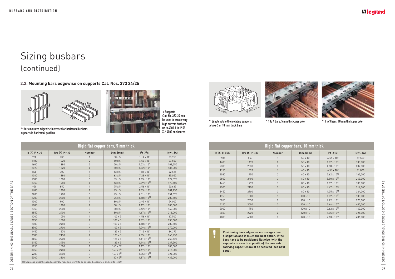

 $<$  Supports **C**at. No. 373 24 can be used to create very high current busbars: up to 4000 A in IP 55 XL3 4000 enclosures



**2.2. Mounting bars edgewise on supports Cat. Nos. 373 24/25**



**^** Simply rotate the isolating supports **^** 1 to 4 bars, 5 mm thick, per pole **^** 1 to 3 bars, 10 mm thick, per pole to take 5 or 10 mm thick bars

**^** Bars mounted edgewise in vertical or horizontal busbars: supports in horizontal position

|                      | Rigid flat copper bars, 10 mm thick |                |                 |                                    |                |  |  |
|----------------------|-------------------------------------|----------------|-----------------|------------------------------------|----------------|--|--|
| $le (A)$ IP $\le$ 30 | Ithe $(A)$ IP $> 30$                | <b>Number</b>  | Dim. (mm)       | 1 <sup>2</sup> t(A <sup>2</sup> s) | $lcw_{1s}$ (A) |  |  |
| 950                  | 850                                 |                | $50 \times 10$  | 4.56 x $10^{9}$                    | 67,500         |  |  |
| 1680                 | 1470                                | $\overline{2}$ | 50 x 10         | $1.82 \times 10^{10}$              | 135,000        |  |  |
| 2300                 | 2030                                | 3              | 50 x 10         | 4.10 $\times$ 10 <sup>10</sup>     | 202,500        |  |  |
| 1150                 | 1020                                | $\mathbf{1}$   | 60 x 10         | $6.56 \times 10^{9}$               | 81,000         |  |  |
| 2030                 | 1750                                | $\overline{2}$ | 60 x 10         | $2.62 \times 10^{10}$              | 162,000        |  |  |
| 2800                 | 2400                                | 3              | 60 x 10         | $5.90 \times 10^{10}$              | 243,000        |  |  |
| 1460                 | 1270                                | 1              | 80 x 10         | $1.17 \times 10^{10}$              | 108,000        |  |  |
| 2500                 | 2150                                | $\overline{2}$ | 80 x 10         | $4.67 \times 10^{10}$              | 216,000        |  |  |
| 3450                 | 2900                                | 3              | 80 x 10         | $1.05 \times 10^{11}$              | 324,000        |  |  |
| 1750                 | 1500                                | $\mathbf{1}$   | $100 \times 10$ | $1.82 \times 10^{10}$              | 135,000        |  |  |
| 3050                 | 2550                                | $\overline{2}$ | $100 \times 10$ | $7.29 \times 10^{10}$              | 270,000        |  |  |
| 4150                 | 3500                                | 3              | $100 \times 10$ | $1.64 \times 10^{11}$              | 405,000        |  |  |
| 2000                 | 1750                                |                | 120 x 10        | $2.62 \times 10^{10}$              | 162,000        |  |  |
| 3600                 | 2920                                | $\overline{2}$ | 120 x 10        | $1.05 \times 10^{11}$              | 324,000        |  |  |
| 4800                 | 4000                                | 3              | $120 \times 10$ | $2.63 \times 10^{11}$              | 486,000        |  |  |

**Positioning bars edgewise encourages heat dissipation and is much the best option. If the bars have to be positioned flatwise (with the supports in a vertical position) the currentcarrying capacities must be reduced (see next page).**

| Rigid flat copper bars, 5 mm thick |                      |                |                      |                                    |                |  |  |
|------------------------------------|----------------------|----------------|----------------------|------------------------------------|----------------|--|--|
| $le (A)$ IP $\le$ 30               | Ithe $(A)$ IP $> 30$ | <b>Number</b>  | Dim. (mm)            | 1 <sup>2</sup> t(A <sup>2</sup> s) | $lcw_{1s}$ (A) |  |  |
| 700                                | 630                  | 1              | $50 \times 5$        | $1.14 \times 10^{9}$               | 33,750         |  |  |
| 1180                               | 1020                 | $\overline{2}$ | $50 \times 5$        | 4.56 x $10^{9}$                    | 67,500         |  |  |
| 1600                               | 1380                 | 3              | $50 \times 5$        | $1.03 \times 10^{10}$              | 101,250        |  |  |
| 2020                               | 1720                 | 4              | $50 \times 5$        | $1.82 \times 10^{10}$              | 135,000        |  |  |
| 800                                | 700                  | $\mathbf{1}$   | $63 \times 5$        | $1.81 \times 10^{9}$               | 42,525         |  |  |
| 1380                               | 1180                 | $\overline{2}$ | 63 x 5               | $7.23 \times 10^{9}$               | 85,050         |  |  |
| 1900                               | 1600                 | 3              | 63 x 5               | $1.63 \times 10^{10}$              | 127,575        |  |  |
| 2350                               | 1950                 | 4              | 63 x 5               | $2.89 \times 10^{10}$              | 170,100        |  |  |
| 950                                | 850                  | 1              | 75 x 5               | $2.56 \times 10^{9}$               | 50,625         |  |  |
| 1600                               | 1400                 | $\overline{2}$ | 75 x 5               | $1.03 \times 10^{10}$              | 101,250        |  |  |
| 2200                               | 1900                 | 3              | $75 \times 5$        | $2.31 \times 10^{10}$              | 151,875        |  |  |
| 2700                               | 2300                 | 4              | $75 \times 5$        | $4.10 \times 10^{11}$              | 202,500        |  |  |
| 1000                               | 900                  | $\mathbf{1}$   | 80 x 5               | $2.92 \times 10^{9}$               | 54,000         |  |  |
| 1700                               | 1480                 | $\mathbf{2}$   | 80 x 5               | $1.17 \times 10^{10}$              | 108,000        |  |  |
| 2350                               | 2000                 | 3              | 80 x 5               | $2.62 \times 10^{10}$              | 162,000        |  |  |
| 2850                               | 2400                 | 4              | 80 x 5               | $4.67 \times 10^{10}$              | 216,000        |  |  |
| 1200                               | 1050                 | 1              | $100 \times 5$       | 4.56 x $10^{9}$                    | 67,500         |  |  |
| 2050                               | 1800                 | $\overline{2}$ | $100 \times 5$       | $1.82 \times 10^{10}$              | 135,000        |  |  |
| 2900                               | 2450                 | 3              | $100 \times 5$       | $4.10 \times 10^{10}$              | 202,500        |  |  |
| 3500                               | 2900                 | 4              | $100 \times 5$       | $7.29 \times 10^{10}$              | 270,000        |  |  |
| 1450                               | 1270                 | 1              | $125 \times 5$       | $7.12 \times 10^{9}$               | 84,375         |  |  |
| 2500                               | 2150                 | $\overline{2}$ | $125 \times 5$       | $2.85 \times 10^{10}$              | 168,750        |  |  |
| 3450                               | 2900                 | 3              | $125 \times 5$       | $6.41 \times 10^{10}$              | 253,125        |  |  |
| 4150                               | 3450                 | 4              | $125 \times 5$       | $1.14 \times 10^{11}$              | 337,500        |  |  |
| 1750                               | 1500                 | 1              | $160 \times 5^{[1]}$ | $1.17 \times 10^{10}$              | 108,000        |  |  |
| 3050                               | 2450                 | $\overline{2}$ | $160 \times 5^{[1]}$ | $4.67 \times 10^{10}$              | 216,000        |  |  |
| 4200                               | 3300                 | 3              | $160 \times 5^{[1]}$ | $1.05 \times 10^{11}$              | 324,000        |  |  |
| 5000                               | 3800                 | 4              | $160 \times 5^{[1]}$ | $1.87 \times 10^{11}$              | 432,000        |  |  |

## **L'Ilegrand**

![](_page_5_Picture_18.jpeg)

![](_page_5_Picture_19.jpeg)

S | DETERMINING THE USABLE CROSS-SECTION OF THE BARS **C** DETERMINING THE USABLE CROSS-SECTION OF THE BARS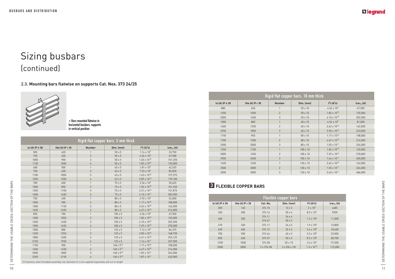# **3 FLEXIBLE COPPER BARS**

|                      | <b>Flexible copper bars</b> |            |                         |                                    |                |  |  |
|----------------------|-----------------------------|------------|-------------------------|------------------------------------|----------------|--|--|
| $le (A)$ IP $\le 30$ | Ithe $[A]$ IP $> 30$        | Cat. No.   | Dim. (mm)               | 1 <sup>2</sup> t(A <sup>2</sup> s) | $lcw_{1s}$ (A) |  |  |
| 200                  | 160                         | 374 10     | $13 \times 3$           | $2 \times 10^{7}$                  | 4485           |  |  |
| 320                  | 200                         | 374 16     | $20 \times 4$           | $8.5 \times 10^{7}$                | 9200           |  |  |
| 400                  | 250                         | 374 11     | $24 \times 4$           | $1.2 \times 10^8$                  | 11.000         |  |  |
|                      |                             | 374 67     | $20 \times 5$           |                                    |                |  |  |
| 470                  | 320                         | 374 17     | $24 \times 5$           | $1.9 \times 10^{8}$                | 13,800         |  |  |
| 630                  | 400                         | 374 12     | $32 \times 5$           | $3.4 \times 10^8$                  | 18,400         |  |  |
| 700                  | 500                         | 374 44     | $40 \times 5$           | $5.3 \times 10^8$                  | 23,000         |  |  |
| 850                  | 630                         | 374 57     | $50 \times 5$           | $8.3 \times 10^8$                  | 28.700         |  |  |
| 1250                 | 1000                        | 374 58     | $50 \times 10$          | $3.3 \times 10^{9}$                | 57.500         |  |  |
| 2500                 | 2000                        | 2 x 374 58 | $2 \times 50 \times 10$ | $1.3 \times 10^{10}$               | 115,000        |  |  |

## **L'1 legrand**

= | DETERMINING THE USABLE CROSS-SECTION OF THE BARS  $\Rightarrow$  DETERMINING THE USABLE CROSS-SECTION OF THE BARS

#### **2.3. Mounting bars flatwise on supports Cat. Nos. 373 24/25**

![](_page_6_Picture_3.jpeg)

**<** Bars mounted flatwise in horizontal busbars: supports in vertical position

| Rigid flat copper bars, 5 mm thick |                      |                |                      |                       |                |  |  |
|------------------------------------|----------------------|----------------|----------------------|-----------------------|----------------|--|--|
| le $(A)$ IP $\leq 30$              | Ithe $(A)$ IP $> 30$ | <b>Number</b>  | Dim. (mm)            | $I^2t(A^2s)$          | $lcw_{1s}$ (A) |  |  |
| 500                                | 420                  | 1              | $50 \times 5$        | $1.14 \times 10^{9}$  | 33,750         |  |  |
| 750                                | 630                  | $\overline{2}$ | $50 \times 5$        | 4.56 x $10^{9}$       | 67,500         |  |  |
| 1000                               | 900                  | 3              | $50 \times 5$        | $1.03 \times 10^{10}$ | 101,250        |  |  |
| 1120                               | 1000                 | 4              | $50 \times 5$        | $1.82 \times 10^{10}$ | 135,000        |  |  |
| 600                                | 500                  | $\mathbf{1}$   | 63 x 5               | $1.81 \times 10^{9}$  | 42,525         |  |  |
| 750                                | 630                  | $\overline{2}$ | $63 \times 5$        | $7.23 \times 10^{9}$  | 85,050         |  |  |
| 1100                               | 1000                 | 3              | $63 \times 5$        | $1.63 \times 10^{10}$ | 127,575        |  |  |
| 1350                               | 1200                 | 4              | $63 \times 5$        | $2.89 \times 10^{10}$ | 170,100        |  |  |
| 700                                | 600                  | $\mathbf{1}$   | 75 x 5               | $2.56 \times 10^{9}$  | 50,625         |  |  |
| 1000                               | 850                  | $\overline{2}$ | 75 x 5               | $1.03 \times 10^{10}$ | 101,250        |  |  |
| 1250                               | 1100                 | 3              | 75 x 5               | $2.31 \times 10^{10}$ | 151,875        |  |  |
| 1600                               | 1400                 | 4              | 75 x 5               | $4.10 \times 10^{11}$ | 202,500        |  |  |
| 750                                | 630                  | $\mathbf{1}$   | 80 x 5               | $2.92 \times 10^{9}$  | 54,000         |  |  |
| 1050                               | 900                  | $\overline{2}$ | 80 x 5               | $1.17 \times 10^{10}$ | 108,000        |  |  |
| 1300                               | 1150                 | 3              | 80 x 5               | $2.62 \times 10^{10}$ | 162,000        |  |  |
| 1650                               | 1450                 | 4              | 80 x 5               | $4.67 \times 10^{10}$ | 216,000        |  |  |
| 850                                | 700                  | $\mathbf{1}$   | $100 \times 5$       | 4.56 x $10^{9}$       | 67,500         |  |  |
| 1200                               | 1050                 | $\overline{2}$ | $100 \times 5$       | $1.82 \times 10^{10}$ | 135,000        |  |  |
| 1600                               | 1400                 | 3              | $100 \times 5$       | $4.10 \times 10^{10}$ | 202,500        |  |  |
| 1900                               | 1650                 | 4              | $100 \times 5$       | $7.29 \times 10^{10}$ | 270,000        |  |  |
| 1000                               | 800                  | $\mathbf{1}$   | $125 \times 5$       | $7.12 \times 10^{9}$  | 84,375         |  |  |
| 1450                               | 1250                 | $\overline{2}$ | $125 \times 5$       | $2.85 \times 10^{10}$ | 168,750        |  |  |
| 1800                               | 1600                 | 3              | $125 \times 5$       | $6.41 \times 10^{10}$ | 253,125        |  |  |
| 2150                               | 1950                 | 4              | $125 \times 5$       | $1.14 \times 10^{11}$ | 337,500        |  |  |
| 1150                               | 900                  | $\mathbf{1}$   | $160 \times 5^{[1]}$ | $1.17 \times 10^{10}$ | 108,000        |  |  |
| 1650                               | 1450                 | $\overline{2}$ | $160 \times 5^{[1]}$ | $4.67 \times 10^{10}$ | 216,000        |  |  |
| 2000                               | 1800                 | 3              | $160 \times 5^{[1]}$ | $1.05 \times 10^{11}$ | 324,000        |  |  |
| 2350                               | 2150                 | 4              | $160 \times 5^{[1]}$ | $1.87 \times 10^{11}$ | 432,000        |  |  |

| Rigid flat copper bars, 10 mm thick |                      |                |                 |                                    |                |  |  |
|-------------------------------------|----------------------|----------------|-----------------|------------------------------------|----------------|--|--|
| le $(A)$ IP $\leq 30$               | Ithe $(A)$ IP $> 30$ | <b>Number</b>  | Dim. (mm)       | I <sup>2</sup> t(A <sup>2</sup> s) | $lcw_{1s}$ (A) |  |  |
| 880                                 | 650                  |                | 50 x 10         | 4.56 x $10^{9}$                    | 67,500         |  |  |
| 1250                                | 1050                 | $\overline{2}$ | 50 x 10         | $1.82 \times 10^{10}$              | 135,000        |  |  |
| 2000                                | 1600                 | 3              | 50 x 10         | $4.10 \times 10^{10}$              | 202,500        |  |  |
| 1000                                | 800                  | $\mathbf{1}$   | 60 x 10         | $6.56 \times 10^{9}$               | 81,000         |  |  |
| 1600                                | 1250                 | $\overline{2}$ | 60 x 10         | $2.62 \times 10^{10}$              | 162,000        |  |  |
| 2250                                | 1850                 | 3              | 60 x 10         | $5.90 \times 10^{10}$              | 243,000        |  |  |
| 1150                                | 950                  | $\mathbf{1}$   | 80 x 10         | $1.17 \times 10^{10}$              | 108,000        |  |  |
| 1700                                | 1500                 | $\overline{2}$ | 80 x 10         | 4.67 $\times$ 10 <sup>10</sup>     | 216,000        |  |  |
| 2500                                | 2000                 | 3              | 80 x 10         | $1.05 \times 10^{11}$              | 324,000        |  |  |
| 1350                                | 1150                 | $\mathbf{1}$   | $100 \times 10$ | $1.82 \times 10^{10}$              | 135,000        |  |  |
| 2000                                | 1650                 | $\overline{2}$ | $100 \times 10$ | $7.29 \times 10^{10}$              | 270,000        |  |  |
| 2900                                | 2400                 | 3              | $100 \times 10$ | $1.64 \times 10^{11}$              | 405,000        |  |  |
| 1650                                | 1450                 | $\mathbf{1}$   | $120 \times 10$ | $2.62 \times 10^{10}$              | 162,000        |  |  |
| 2500                                | 2000                 | $\overline{2}$ | $120 \times 10$ | $1.05 \times 10^{11}$              | 324,000        |  |  |
| 3500                                | 3000                 | 3              | 120 x 10        | $2.63 \times 10^{11}$              | 486,000        |  |  |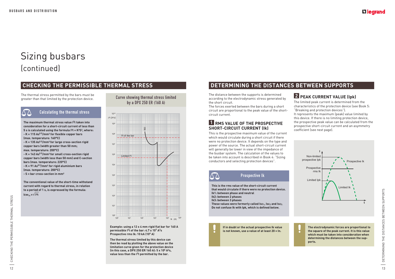$\wedge\wedge$ 

# Sizing busbars (continued)

![](_page_7_Figure_27.jpeg)

![](_page_7_Figure_9.jpeg)

Example: using a 12 x 4 mm rigid flat bar for 160 A **permissible I<sup>2</sup><b>t** of the bar: 4.7 x 10<sup>7</sup> A<sup>2</sup>s **Prospective rms lk: 10 kA (10<sup>4</sup> A)** 

The distance between the supports is determined according to the electrodynamic stress generated by the short circuit.

The forces exerted between the bars during a short circuit are proportional to the peak value of the shortcircuit current.

#### **1 RMS VALUE OF THE PROSPECTIVE SHORT-CIRCUIT CURRENT (Ik)**

The thermal stress permitted by the bars must be The mermal stress permitted by the bars must be<br>greater than that limited by the protection device. Curve showing thermal stress limited

> This is the prospective maximum value of the current which would circulate during a short circuit if there were no protection device. It depends on the type and power of the source. The actual short-circuit current will generally be lower in view of the impedance of the busbar system. The calculation of the values to be taken into account is described in Book 4: "Sizing conductors and selecting protection devices".

#### **2 PEAK CURRENT VALUE (Ipk)**

The limited peak current is determined from the characteristics of the protection device (see Book 5: "Breaking and protection devices").

**The maximum thermal stress value I2t taken into consideration for a short-circuit current of less than**   $5s$  is calculated using the formula  $12t = K^2S^2$ . where: **- K = 115 As0.5/mm² for flexible copper bars (max. temperature: 160°C) - K = 135 As0.5/mm²for large cross-section rigid copper bars (width greater than 50 mm;**  max.temperature: 200°C) **- K = 143 As0.5/mm²for small cross-section rigid copper bars (width less than 50 mm) and C-section bars (max. temperature: 220°C) - K = 91 As0.5/mm² for rigid aluminium bars (max. temperature: 200°C)** 

It represents the maximum (peak) value limited by this device. If there is no limiting protection device, the prospective peak value can be calculated from the prospective short-circuit current and an asymmetry coefficient (see next page).

**The conventional value of the short-time withstand current with regard to thermal stress, in relation**  to a period of 1 s, is expressed by the formula:  $Icw_{1s} = \sqrt{12t}$ 

by a DPX 250 ER (160 A)

**The thermal stress limited by this device can then be read by plotting the above value on the limitation curve given for the protection device (in this case, a DPX 250 ER 160 A): 5 x 10<sup>5</sup> A<sup>2</sup>s, value less than the I2t permitted by the bar.**

# **CHECKING THE PERMISSIBLE THERMAL STRESS DETERMINING THE DISTANCES BETWEEN SUPPORTS**

![](_page_7_Picture_17.jpeg)

**that would circulate if there were no protection device.** Ik1: between phase and neutral **Ik2: between 2 phases Ik3: between 3 phases** These values were formerly called Isc<sub>1</sub>, Isc<sub>2</sub> and Isc<sub>3.</sub> **Do not confuse Ik with Ipk, which is defined below.**

![](_page_7_Picture_19.jpeg)

**If in doubt or the actual prospective Ik value is not known, use a value of at least 20 x In.**

### L<sub>leqrand</sub>

**The electrodynamic forces are proportional to the square of the peak current. It is this value which must be taken into consideration when determining the distances between the supports.**

**- S = bar cross-section in mm²**

## Calculating the thermal stress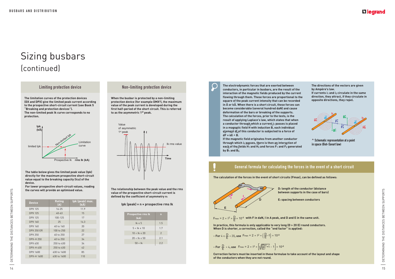![](_page_8_Figure_4.jpeg)

**The limitation curves of the protection devices (DX and DPX) give the limited peak current according to the prospective short-circuit current (see Book 5 "Breaking and protection devices"). The non-limited peak Ik curve corresponds to no protection.**

> **The relationship between the peak value and the rms value of the prospective short-circuit current is**  defined by the coefficient of asymmetry n:

#### **Ipk (peak) = n × prospective rms Ik**

**The table below gives the limited peak value (Ipk) directly for the maximum prospective short-circuit value equal to the breaking capacity (Icu) of the device.** 

**For lower prospective short-circuit values, reading the curves will provide an optimised value.**

|                                | the curves will provide an optimised value. |             |                               | The relationship between the peak value and the rms<br>value of the prospective short-circuit current is<br>defined by the coefficient of asymmetry n:<br>Ipk (peak) max.<br>Ipk (peak) = $n \times$ prospective rms Ik<br>(kA) |                | <b>D: Gright Of the Conductor (distance</b><br>between supports in the case of bars)                                                        |    |  |  |
|--------------------------------|---------------------------------------------|-------------|-------------------------------|---------------------------------------------------------------------------------------------------------------------------------------------------------------------------------------------------------------------------------|----------------|---------------------------------------------------------------------------------------------------------------------------------------------|----|--|--|
| Rating<br><b>Device</b><br>(A) |                                             |             | E: spacing between conductors |                                                                                                                                                                                                                                 |                |                                                                                                                                             |    |  |  |
|                                | <b>DPX 125</b>                              | $16 - 25$   | 11.9                          |                                                                                                                                                                                                                                 |                |                                                                                                                                             |    |  |  |
|                                | <b>DPX 125</b>                              | $40 - 63$   | 15                            | <b>Prospective rms Ik</b>                                                                                                                                                                                                       |                |                                                                                                                                             |    |  |  |
| i<br>B                         | <b>DPX 125</b>                              | 100-125     | 17                            | (kA)                                                                                                                                                                                                                            |                | $F_{\text{max}} = 2 \times 1^2 \times \frac{D}{F} \times 10^{-8}$ with F in daN, I in A peak, and D and E in the same unit.                 |    |  |  |
| ш                              | <b>DPX 160</b>                              | 25          | 14.3                          | $lk \leq 5$                                                                                                                                                                                                                     | 1.5            |                                                                                                                                             |    |  |  |
|                                | <b>DPX 160</b>                              | 40 to 160   | 20                            | $5 < lk \leq 10$                                                                                                                                                                                                                | 1.7            | In practice, this formula is only applicable to very long (D > 20 E) round conductors.                                                      |    |  |  |
|                                | <b>DPX 250 ER</b>                           | 100 to 250  | 22                            |                                                                                                                                                                                                                                 |                | When D is shorter, a correction, called the "end factor" is applied:                                                                        |    |  |  |
| ā                              | <b>DPX 250</b>                              | 40 to 250   | 27                            | $10 < Ik \le 20$                                                                                                                                                                                                                | $\overline{2}$ | - For $4 \le \frac{D}{F} < 20$ , use Fmax = $2 \times 1^2 \times (\frac{D}{E} - 1) \times 10^{-8}$                                          |    |  |  |
| 工                              | <b>DPX-H 250</b>                            | 40 to 250   | 34                            | $20 < Ik \le 50$                                                                                                                                                                                                                | 2.1            |                                                                                                                                             |    |  |  |
|                                | <b>DPX 630</b>                              | 250 to 630  | 34                            | $50 <$ lk                                                                                                                                                                                                                       | 2.2            |                                                                                                                                             |    |  |  |
|                                | DPX-H 630                                   | 250 to 630  | 42                            |                                                                                                                                                                                                                                 |                | - For $\frac{D}{F}$ < 4, use $F_{max} = 2 \times 1^2 \times \left[\sqrt{\frac{D}{F}}^2 + 1 - 1\right] \times 10^{-8}$                       |    |  |  |
|                                | <b>DPX 1600</b>                             | 630 to 1600 | 85                            |                                                                                                                                                                                                                                 |                |                                                                                                                                             |    |  |  |
| $\Box$                         | DPX-H 1600                                  | 630 to 1600 | 110                           |                                                                                                                                                                                                                                 |                | Correction factors must be inserted in these formulae to take account of the layout and shape<br>of the conductors when they are not round. |    |  |  |
| 14                             |                                             |             |                               |                                                                                                                                                                                                                                 |                |                                                                                                                                             | 15 |  |  |

#### Limiting protection device Non-limiting protection device

**When the busbar is protected by a non-limiting protection device (for example DMX³), the maximum value of the peak current is developed during the first half-period of the short circuit. This is referred to as the asymmetric 1st peak.**

> **D: length of the conductor (distance between supports in the case of bars)**

![](_page_8_Figure_10.jpeg)

**If the magnetic field originates from another conductor through which i2 passes, there is then an interaction of**  →→ →→ eac<u>h</u> of th<u>e f</u>ields H<sub>1</sub> and H<sub>2</sub> and forces F<sub>1</sub> and F<sub>2</sub> generated by  $B_1$  and  $B_2$ .

| <b>Prospective rms Ik</b><br>(kA) | n   |
|-----------------------------------|-----|
| $lk \leq 5$                       | 1.5 |
| $5 < lk \leq 10$                  | 1.7 |
| $10 < Ik \leq 20$                 | 2   |
| $20 < Ik \le 50$                  | 2.1 |
| $50 <$ lk                         | 22  |

#### General formula for calculating the forces in the event of a short circuit

The calculation of the forces in the event of short circuits (Fmax), can be defined as follows:

- For 
$$
4 \le \frac{D}{E} < 20
$$
, use  $F_{\text{max}} = 2 \times 1^2 \times \left(\frac{D}{E} - 1\right) \times 10^{-8}$ 

- For 
$$
\frac{D}{E} < 4
$$
, use  $F_{max} = 2 \times 1^2 \times \left[ \sqrt{\frac{D}{E}}^2 + 1 - 1 \right] \times 10^{-8}$ 

### **L'Ilegrand**

![](_page_8_Figure_18.jpeg)

**The electrodynamic forces that are exerted between conductors, in particular in busbars, are the result of the interaction of the magnetic fields produced by the current flowing through them. These forces are proportional to the square of the peak current intensity that can be recorded**  in  $\hat{A}$  or k $\hat{A}$ . When there is a short circuit, these forces can **become considerable (several hundred daN) and cause deformation of the bars or breaking of the supports. The calculation of the forces, prior to the tests, is the result of applying Laplace's law, which states that when**  a conductor through which a current i<sub>1</sub> passes is placed **in a magnetic field H** with induction B, each individual **element dl of this conductor is subjected to a force of**  → **dF = idl ^ B.** → → →

![](_page_8_Figure_27.jpeg)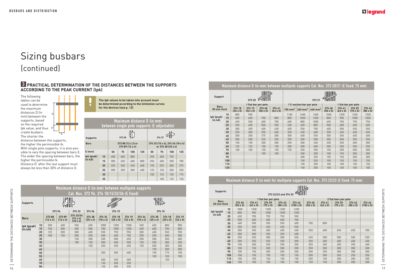|                |                  |                           |                           | Maximum distance D (in mm) between multipole supports Cat. Nos. 373 20/21 (E fixed: 75 mm) |                           |                    |                          |                     |                           |                           |                           |                           |
|----------------|------------------|---------------------------|---------------------------|--------------------------------------------------------------------------------------------|---------------------------|--------------------|--------------------------|---------------------|---------------------------|---------------------------|---------------------------|---------------------------|
| <b>Support</b> |                  |                           | 373 20                    |                                                                                            |                           |                    |                          | 373 21              |                           |                           |                           |                           |
| <b>Bars</b>    |                  |                           |                           | 1 flat bar per pole                                                                        |                           |                    | 1 C-section bar per pole |                     |                           | 1 flat bar per pole       |                           |                           |
| 50 mm thick    |                  | 374 18<br>$(25 \times 5)$ | 374 19<br>$(32 \times 5)$ | 374 40<br>$(50 \times 5)$                                                                  | 374 41<br>$(63 \times 5)$ | $155 \text{ mm}^2$ | $265$ mm <sup>2</sup>    | 440 mm <sup>2</sup> | 374 40<br>$(50 \times 5)$ | 374 41<br>$(63 \times 5)$ | 374 59<br>$(75 \times 5)$ | 374 43<br>$(80 \times 5)$ |
|                | 10               | 800                       | 900                       |                                                                                            |                           | 1100               | 1600                     | 1600                | 1000                      | 1200                      | 1200                      | 1200                      |
| Ipk (peak)     | 15               | 600                       | 600                       | 700                                                                                        | 800                       | 800                | 1000                     | 1300                | 800                       | 900                       | 1000                      | 1000                      |
| (in kÂ)        | 20               | 450                       | 500                       | 600                                                                                        | 700                       | 600                | 800                      | 1000                | 650                       | 700                       | 750                       | 750                       |
|                | 25               | 350                       | 400                       | 500                                                                                        | 550                       | 450                | 650                      | 800                 | 500                       | 600                       | 600                       | 600                       |
|                | 30               | 300                       | 350                       | 400                                                                                        | 450                       | 400                | 550                      | 700                 | 400                       | 500                       | 550                       | 550                       |
|                | 35               | 250                       | 300                       | 350                                                                                        | 400                       | 350                | 450                      | 600                 | 350                       | 450                       | 450                       | 450                       |
|                | 40               | 200                       | 250                       | 275                                                                                        | 300                       | 300                | 400                      | 550                 | 300                       | 350                       | 400                       | 400                       |
|                | 45               | 200                       | 200                       | 225                                                                                        | 250                       | 250                | 350                      | 500                 | 300                       | 300                       | 350                       | 350                       |
|                | 50               | 150                       | 150                       | 200                                                                                        | 200                       | 250                | 300                      | 450                 | 250                       | 250                       | 300                       | 300                       |
|                | 60               | 125                       | 125                       | 150                                                                                        | 150                       | 200                | 300                      | 400                 | 200                       | 250                       | 250                       | 250                       |
|                | 70               | 100                       | 100                       | 150                                                                                        | 150                       | 150                | 250                      | 350                 | 150                       | 200                       | 200                       | 200                       |
|                | 80               |                           |                           | 100                                                                                        | 100                       |                    | 200                      | 300                 | 100                       | 150                       | 200                       | 200                       |
|                | 90               |                           |                           |                                                                                            |                           |                    | 200                      | 250                 | 100                       | 150                       | 200                       | 200                       |
|                | 100 <sub>1</sub> |                           |                           |                                                                                            |                           |                    | 150                      | 250                 | 100                       | 150                       | 150                       | 150                       |
|                | 110              |                           |                           |                                                                                            |                           |                    | 150                      | 200                 | 100                       | 100                       | 150                       | 150                       |
|                | 120              |                           |                           |                                                                                            |                           |                    | 150                      | 200                 | 100                       | 100                       | 100                       | 100                       |
|                |                  |                           |                           |                                                                                            |                           |                    |                          |                     |                           |                           |                           |                           |

| Maximum distance D (in mm) for multipole sup |  |  |  |  |  |  |
|----------------------------------------------|--|--|--|--|--|--|
|----------------------------------------------|--|--|--|--|--|--|

| <b>Supports</b> |     |                           |                           |                           | 373 22/23 and 374 53      | $\frac{1}{2}$              |                           |                           |                           |                           |                            |
|-----------------|-----|---------------------------|---------------------------|---------------------------|---------------------------|----------------------------|---------------------------|---------------------------|---------------------------|---------------------------|----------------------------|
| <b>Bars</b>     |     |                           |                           | 1 flat bar per pole       |                           |                            |                           |                           | 2 flat bars per pole      |                           |                            |
| 50 mm thick     |     | 374 40<br>$(50 \times 5)$ | 374 41<br>$(63 \times 5)$ | 374 59<br>$(75 \times 5)$ | 374 43<br>$(80 \times 5)$ | 374 46<br>$(100 \times 5)$ | 374 40<br>$(50 \times 5)$ | 374 41<br>$(63 \times 5)$ | 374 59<br>$(75 \times 5)$ | 374 43<br>$(80 \times 5)$ | 374 46<br>$(100 \times 5)$ |
|                 | 10  | 1000                      | 1200                      | 1200                      | 1200                      | 1200                       |                           |                           |                           |                           |                            |
| lpk (peak)      | 15  | 800                       | 900                       | 1000                      | 1000                      | 1200                       |                           |                           |                           |                           |                            |
| $(in k\hat{A})$ | 20  | 650                       | 700                       | 750                       | 750                       | 900                        |                           |                           |                           |                           |                            |
|                 | 25  | 500                       | 600                       | 600                       | 600                       | 700                        |                           |                           |                           |                           |                            |
|                 | 30  | 400                       | 500                       | 550                       | 550                       | 600                        | 700                       | 800                       |                           |                           |                            |
|                 | 35  | 350                       | 450                       | 450                       | 450                       | 550                        |                           |                           |                           |                           |                            |
|                 | 40  | 300                       | 350                       | 400                       | 400                       | 450                        | 550                       | 600                       | 650                       | 650                       | 700                        |
|                 | 45  | 300                       | 300                       | 350                       | 350                       | 400                        |                           |                           |                           |                           |                            |
|                 | 50  | 250                       | 250                       | 300                       | 300                       | 350                        | 450                       | 500                       | 500                       | 500                       | 550                        |
|                 | 60  | 200                       | 250                       | 250                       | 250                       | 300                        | 350                       | 400                       | 400                       | 400                       | 450                        |
|                 | 70  | 150                       | 200                       | 250                       | 250                       | 250                        | 250                       | 350                       | 350                       | 350                       | 400                        |
|                 | 80  | 100                       | 150                       | 200                       | 200                       | 200                        | 250                       | 300                       | 300                       | 300                       | 300                        |
|                 | 90  | 100                       | 150                       | 200                       | 200                       | 200                        | 200                       | 250                       | 300                       | 300                       | 300                        |
|                 | 100 | 100                       | 150                       | 150                       | 150                       | 150                        | 200                       | 200                       | 250                       | 250                       | 250                        |
|                 | 110 | 100                       | 100                       | 150                       | 150                       | 150                        | 200                       | 150                       | 200                       | 200                       | 200                        |
|                 | 120 | 100                       | 100                       | 100                       | 100                       | 100                        | 150                       | 150                       | 200                       | 200                       | 200                        |

## **L'Ilegrand**

#### pports Cat. Nos. 373 22/23 (E fixed: 75 mm)

![](_page_9_Picture_18.jpeg)

|                 |          |                  |                  | Cat. Nos. 373 96, 374 10/15/32/36 (E fixed) |                 |                 |                 |                 |                 |                 |                 |                 | <b>Supports</b>       |     |                           |                           |                           | 373 22/23 and 374 53      | <b>AMILIA</b>              |                           |                           |                           |                           |                            |
|-----------------|----------|------------------|------------------|---------------------------------------------|-----------------|-----------------|-----------------|-----------------|-----------------|-----------------|-----------------|-----------------|-----------------------|-----|---------------------------|---------------------------|---------------------------|---------------------------|----------------------------|---------------------------|---------------------------|---------------------------|---------------------------|----------------------------|
|                 |          |                  | <b>PIBNAIL</b> S |                                             |                 |                 |                 |                 |                 |                 |                 |                 | <b>Bars</b>           |     |                           |                           | 1 flat bar per pole       |                           |                            |                           |                           | 2 flat bars per pole      |                           |                            |
| <b>Supports</b> |          |                  |                  |                                             |                 |                 |                 |                 |                 |                 |                 |                 | 50 mm thick           |     | 374 40<br>$(50 \times 5)$ | 374 41<br>$(63 \times 5)$ | 374 59<br>$(75 \times 5)$ | 374 43<br>$(80 \times 5)$ | 374 46<br>$(100 \times 5)$ | 374 40<br>$(50 \times 5)$ | 374 41<br>$(63 \times 5)$ | 374 59<br>$(75 \times 5)$ | 374 43<br>$(80 \times 5)$ | 374 46<br>$(100 \times 5)$ |
|                 |          | 37396            |                  | 374 32                                      | 374 36          |                 | 374 15          |                 |                 |                 | 374 10          |                 |                       |     | 1000                      | 1200                      | 1200                      | 1200                      | 1200                       |                           |                           |                           |                           |                            |
|                 |          |                  |                  |                                             |                 |                 |                 |                 |                 |                 |                 |                 | lpk (peak)<br>(in kÂ) |     | 800                       | 900                       | 1000                      | 1000                      | 1200                       |                           |                           |                           |                           |                            |
| <b>Bars</b>     |          | 37388            | 37389            | 374 33/34                                   | 374 38          | 374 34          | 374 18          | 374 19          | 374 34          | 374 38          | 374 18          | 374 19          |                       | 20  | 650                       | 700                       | 750                       | 750                       | 900                        |                           |                           |                           |                           |                            |
|                 |          | $(12 \times 2)$  | $(12 \times 4)$  | $(15 \times 4)$<br>$(18 \times 4)$          | $(25 \times 4)$ | $(18 \times 4)$ | $(25 \times 5)$ | $(32 \times 5)$ | $(18 \times 4)$ | $(25 \times 4)$ | $(25 \times 5)$ | $(32 \times 5)$ |                       | 25  | 500                       | 600                       | 600                       | 600                       | 700                        |                           |                           |                           |                           |                            |
|                 |          | 200              | 400              | 550                                         | 650             |                 | 1200            |                 |                 | 650             | 800             |                 |                       |     | 400                       | 500                       | 550                       | 550                       | 600                        | 700                       | 800                       |                           |                           |                            |
| lpk (peak)      |          |                  |                  | 400                                         |                 | 1000            |                 | 1500            | 550             |                 |                 | 900<br>800      |                       | 35  | 350                       | 450                       | 450                       | 450                       | 550                        |                           |                           |                           |                           |                            |
| (in kA)         | 15       | 150<br>125       | 300<br>200       | 300                                         | 500<br>400      | 700<br>550      | 1000<br>750     | 1200<br>950     | 400<br>300      | 600<br>450      | 700<br>550      | 700             |                       | 40  | 300                       | 350                       | 400                       | 400                       | 450                        | 550                       | 600                       | 650                       | 650                       | 700                        |
|                 | 20<br>25 | 100 <sub>1</sub> | 150              | 200                                         | 350             |                 |                 | 750             | 250             |                 | 400             | 500             |                       | 45  | 300                       | 300                       | 350                       | 350                       | 400                        |                           |                           |                           |                           |                            |
|                 | 30       |                  |                  | 150                                         |                 | 400             | 600             |                 |                 | 350             |                 |                 |                       | 50  | 250                       | 250                       | 300                       | 300                       | 350                        | 450                       | 500                       | 500                       | 500                       | 550                        |
|                 | 35       |                  |                  | 100                                         | 200<br>150      | 350<br>300      | 500<br>400      | 650<br>550      | 200<br>150      | 300<br>250      | 350<br>300      | 400<br>350      |                       | 60  | 200                       | 250                       | 250                       | 250                       | 300                        | 350                       | 400                       | 400                       | 400                       | 450                        |
|                 | 40       |                  |                  |                                             | 100             | 250             | 350             | 450             | 150             | 200             | 300             | 300             |                       | 70  | 150                       | 200                       | 250                       | 250                       | 250                        | 250                       | 350                       | 350                       | 350                       | 400                        |
|                 | 45       |                  |                  |                                             |                 |                 |                 |                 |                 | 150             |                 |                 |                       | 80  | 100                       | 150                       | 200                       | 200                       | 200                        | 250                       | 300                       | 300                       | 300                       | 300                        |
|                 | 50       |                  |                  |                                             |                 | 200             | 300             | 400             |                 | 150             | 200<br>175      | 200<br>100      |                       | 90  | 100                       | 150                       | 200                       | 200                       | 200                        | 200                       | 250                       | 300                       | 300                       | 300                        |
|                 | 55       |                  |                  |                                             |                 |                 |                 |                 |                 | 100             | 150             | 100             |                       | 100 | 100                       | 150                       | 150                       | 150                       | 150                        | 200                       | 200                       | 250                       | 250                       | 250                        |
|                 | 60       |                  |                  |                                             |                 | 200             | 250             | 300             |                 |                 | 150             |                 |                       | 110 | 100                       | 100                       | 150                       | 150                       | 150                        | 200                       | 150                       | 200                       | 200                       | 200                        |
|                 | 70       |                  |                  |                                             |                 | 150             | 200             | 250             |                 |                 |                 |                 |                       | 120 | 100 <sub>1</sub>          | 100                       | 100                       | 100                       | 100                        | 150                       | 150                       | 200                       | 200                       | 200                        |
|                 | 80       |                  |                  |                                             |                 | 150             | 200             | 250             |                 |                 |                 |                 |                       |     |                           |                           |                           |                           |                            |                           |                           |                           |                           |                            |
|                 |          |                  |                  |                                             |                 |                 |                 |                 |                 |                 |                 |                 |                       |     |                           |                           |                           |                           |                            |                           |                           |                           |                           |                            |

The following tables can be used to determine the maximum distances D (in mm) between the supports, based on the required Ipk value, and thus create busbars. The shorter the

distance between the supports, the higher the permissible Ik. With single pole supports, it is also possible to vary the spacing between bars E. The wider the spacing between bars, the

higher the permissible Ik. Distance D' after the last support must always be less than 30% of distance D.

#### **3 PRACTICAL DETERMINATION OF THE DISTANCES BETWEEN THE SUPPORTS ACCORDING TO THE PEAK CURRENT (Ipk)**

|                 |    | between single pole supports (E adjustable) |                                       |     |     | Maximum distance D (in mm) |        |                                                        |     |
|-----------------|----|---------------------------------------------|---------------------------------------|-----|-----|----------------------------|--------|--------------------------------------------------------|-----|
| <b>Supports</b> |    |                                             | 37398                                 |     |     |                            | 374 37 |                                                        |     |
| <b>Bars</b>     |    |                                             | 373 88 (12 x 2) or<br>373 89 (12 x 4) |     |     |                            |        | 374 33 (15 x 4), 374 34 (18 x 4)<br>or 374 38 (25 x 4) |     |
| $E$ (mm)        |    | 50                                          | 75                                    | 100 | 125 | 50                         | 75     | 100                                                    | 125 |
| lpk (peak)      | 10 | 400                                         | 600                                   | 800 |     | 350                        | 600    | 750                                                    |     |
| (in kÂ)         | 15 | 300                                         | 450                                   | 600 | 800 | 250                        | 400    | 500                                                    | 700 |
|                 | 20 | 250                                         | 350                                   | 450 | 600 | 150                        | 225    | 300                                                    | 375 |
|                 | 25 | 200                                         | 250                                   | 300 | 400 | 125                        | 150    | 200                                                    | 250 |
|                 | 30 |                                             |                                       |     |     | 100                        | 125    | 150                                                    | 175 |
|                 | 35 |                                             |                                       |     |     |                            | 100    | 125                                                    | 150 |

Maximum distance D (in mm) between multipole supports

**The Ipk values to be taken into account must be determined according to the limitation curves for the devices (see p. 12)**

![](_page_9_Figure_4.jpeg)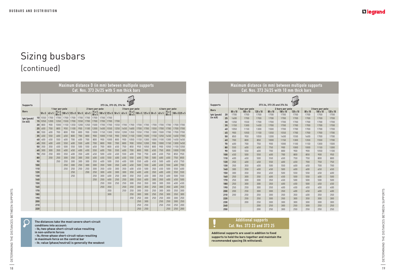| <b>Supports</b> |     |                 |                  |                  | 373 24, 373 25 and 374 54 |                         |                  |                 |                         |                  |
|-----------------|-----|-----------------|------------------|------------------|---------------------------|-------------------------|------------------|-----------------|-------------------------|------------------|
| <b>Bars</b>     |     |                 | 1 bar per pole   |                  |                           | 2 bars per pole         |                  |                 | 3 bars per pole         |                  |
| Ipk (peak)      | 20  | 80 x 10<br>1700 | 100 x 10<br>1700 | 120 x 10<br>1700 | 80 x 10<br>1700           | $100 \times 10$<br>1700 | 120 x 10<br>1700 | 80 x 10<br>1700 | $100 \times 10$<br>1700 | 120 x 10<br>1700 |
| $(in k\hat{A})$ | 25  | 1600            | 1700             | 1700             | 1700                      | 1700                    | 1700             | 1700            | 1700                    | 1700             |
|                 | 30  | 1350            | 1550             | 1700             | 1700                      | 1700                    | 1700             | 1700            | 1700                    | 1700             |
|                 | 35  | 1150            | 1300             | 1450             | 1700                      | 1700                    | 1700             | 1700            | 1700                    | 1700             |
|                 | 40  | 1050            | 1150             | 1300             | 1500                      | 1700                    | 1700             | 1700            | 1700                    | 1700             |
|                 | 45  | 900             | 1050             | 1150             | 1350                      | 1550                    | 1700             | 1700            | 1700                    | 1700             |
|                 | 50  | 850             | 950              | 1050             | 1200                      | 1400                    | 1550             | 1600            | 1700                    | 1700             |
|                 | 60  | 700             | 800              | 850              | 1000                      | 1150                    | 1300             | 1350            | 1550                    | 1700             |
|                 | 70  | 600             | 700              | 750              | 900                       | 1000                    | 1100             | 1150            | 1300                    | 1500             |
|                 | 80  | 550             | 600              | 650              | 750                       | 900                     | 1000             | 1000            | 1150                    | 1300             |
|                 | 90  | 500             | 550              | 600              | 700                       | 800                     | 900              | 900             | 1050                    | 1100             |
|                 | 100 | 450             | 500              | 550              | 600                       | 700                     | 800              | 850             | 900                     | 950              |
|                 | 110 | 400             | 450              | 500              | 550                       | 650                     | 750              | 750             | 800                     | 800              |
|                 | 120 | 350             | 400              | 450              | 550                       | 600                     | 650              | 700             | 750                     | 750              |
|                 | 130 | 350             | 350              | 400              | 500                       | 550                     | 600              | 650             | 700                     | 700              |
|                 | 140 | 300             | 350              | 400              | 450                       | 500                     | 600              | 600             | 650                     | 650              |
|                 | 150 | 300             | 350              | 350              | 450                       | 500                     | 550              | 550             | 650                     | 600              |
|                 | 160 | 250             | 300              | 350              | 400                       | 450                     | 500              | 550             | 600                     | 500              |
|                 | 170 | 250             | 300              | 300              | 350                       | 450                     | 500              | 500             | 500                     | 500              |
|                 | 180 | 250             | 300              | 300              | 350                       | 400                     | 450              | 500             | 450                     | 450              |
|                 | 190 | 250             | 250              | 300              | 350                       | 400                     | 450              | 450             | 400                     | 400              |
|                 | 200 | 200             | 250              | 300              | 300                       | 350                     | 400              | 450             | 400                     | 400              |
|                 | 210 | 200             | 250              | 250              | 300                       | 350                     | 350              | 400             | 350                     | 350              |
|                 | 220 |                 | 250              | 250              | 300                       | 350                     | 300              | 350             | 300                     | 300              |
|                 | 230 |                 | 200              | 250              | 300                       | 300                     | 300              | 300             | 300                     | 300              |
|                 | 240 |                 |                  | 200              | 250                       | 300                     | 250              | 300             | 250                     | 250              |
|                 | 250 |                 |                  | 200              | 250                       | 300                     | 250              | 250             | 250                     | 250              |

#### Maximum distance (in mm) between multipole supports Cat. Nos. 373 24/25 with 10 mm thick bars

|                 |                                                                                                                                                                                                                                                                          |            |                | Maximum distance D (in mm) between multipole supports                                                                                                                | Cat. Nos. 373 24/25 with 5 mm thick bars                                          |               |                                                                  |               |                                                                                                                                                                                                                                                                               |         |                                |              |                    |            |                                               |                 |                                                                                                                                                                                                                                                                                                                                                                                                                                                                                           |                                                                                                                                                 |            |              | Maximum distance (in mm) between multipole supports       |                 |                | Cat. Nos. 373 24/25 with 10 mm thick bars |                 |              |                                    |                 |
|-----------------|--------------------------------------------------------------------------------------------------------------------------------------------------------------------------------------------------------------------------------------------------------------------------|------------|----------------|----------------------------------------------------------------------------------------------------------------------------------------------------------------------|-----------------------------------------------------------------------------------|---------------|------------------------------------------------------------------|---------------|-------------------------------------------------------------------------------------------------------------------------------------------------------------------------------------------------------------------------------------------------------------------------------|---------|--------------------------------|--------------|--------------------|------------|-----------------------------------------------|-----------------|-------------------------------------------------------------------------------------------------------------------------------------------------------------------------------------------------------------------------------------------------------------------------------------------------------------------------------------------------------------------------------------------------------------------------------------------------------------------------------------------|-------------------------------------------------------------------------------------------------------------------------------------------------|------------|--------------|-----------------------------------------------------------|-----------------|----------------|-------------------------------------------|-----------------|--------------|------------------------------------|-----------------|
| <b>Supports</b> |                                                                                                                                                                                                                                                                          |            |                |                                                                                                                                                                      |                                                                                   |               |                                                                  |               | 373 24, 373 25, 374 54                                                                                                                                                                                                                                                        |         |                                |              |                    |            |                                               |                 |                                                                                                                                                                                                                                                                                                                                                                                                                                                                                           | <b>Supports</b>                                                                                                                                 |            |              |                                                           |                 |                | 373 24, 373 25 and 374 54                 |                 |              |                                    |                 |
| <b>Bars</b>     |                                                                                                                                                                                                                                                                          |            | 1 bar per pole |                                                                                                                                                                      |                                                                                   |               | 2 bars per pole                                                  |               |                                                                                                                                                                                                                                                                               |         | 3 bars per pole                |              |                    |            |                                               | 4 bars per pole | $\boxed{50\times5\begin{bmatrix} 5\times5 \\ 60\times5 \end{bmatrix}}\begin{bmatrix} 100\times5 \begin{bmatrix} 125\times5 \\ 100\times5 \end{bmatrix}}\begin{bmatrix} 125\times5 \end{bmatrix}\begin{bmatrix} 50\times5 \begin{bmatrix} 5\times5 \\ 80\times5 \end{bmatrix}}\begin{bmatrix} 100\times5 \begin{bmatrix} 125\times5 \\ 125\times5 \end{bmatrix}\begin{bmatrix} 50\times5 \end{bmatrix}\begin{bmatrix} 50\times5 \begin{bmatrix} 100\times5 \end{bmatrix}\begin{bmatrix} 2$ | <b>Bars</b>                                                                                                                                     |            | 80 x 10      | 1 bar per pole<br>$100 \times 10$                         | $120 \times 10$ | $80 \times 10$ | 2 bars per pole<br>$100 \times 10$        | $120 \times 10$ | 80 x 10      | 3 bars per pole<br>$100 \times 10$ | $120 \times 10$ |
| Ipk (peak)      |                                                                                                                                                                                                                                                                          |            |                |                                                                                                                                                                      |                                                                                   |               |                                                                  |               |                                                                                                                                                                                                                                                                               |         |                                |              |                    |            |                                               |                 |                                                                                                                                                                                                                                                                                                                                                                                                                                                                                           | lpk (peak)<br>(in kÂ)                                                                                                                           | 20<br>25   | 1700<br>1600 | 1700<br>1700                                              | 1700<br>1700    | 1700<br>1700   | 1700<br>1700                              | 1700<br>1700    | 1700<br>1700 | 1700<br>1700                       | 1700<br>1700    |
| (in kÂ)         |                                                                                                                                                                                                                                                                          |            |                |                                                                                                                                                                      |                                                                                   |               |                                                                  |               |                                                                                                                                                                                                                                                                               |         |                                |              |                    |            |                                               |                 |                                                                                                                                                                                                                                                                                                                                                                                                                                                                                           |                                                                                                                                                 | 30         | 1350         | 1550                                                      | 1700            | 1700           | 1700                                      | 1700            | 1700         | 1700                               | 1700            |
|                 | 20 800                                                                                                                                                                                                                                                                   | 900        |                |                                                                                                                                                                      |                                                                                   |               |                                                                  |               |                                                                                                                                                                                                                                                                               |         |                                |              |                    |            |                                               |                 | 1000   1150   1350   1200   1350   1500   1700   1700   1550   1700   1700   1700   1700   1700   1700   1700   1700   1700   1700   1700   1700   1700   1700   1700   1700   1700   1700   1700   1700   1700   1700   1700                                                                                                                                                                                                                                                             |                                                                                                                                                 | 35         | 1150         | 1300                                                      | 1450            | 1700           | 1700                                      | 1700            | 1700         | 1700                               | 1700            |
|                 | $25 \mid 650$<br>30 550                                                                                                                                                                                                                                                  | 750<br>600 | 800<br>700     |                                                                                                                                                                      |                                                                                   |               |                                                                  |               |                                                                                                                                                                                                                                                                               |         |                                |              |                    |            |                                               |                 | 950   1100   950   1100   1200   1400   1550   1250   1450   1600   1700   1700   1700   1700   1700   1700   1700  <br>800   900   800   900   1000   1150   1300   1050   1200   1350   1550   1700   1300   1500   1700   1700   1700                                                                                                                                                                                                                                                  |                                                                                                                                                 | 40         | 1050         | 1150                                                      | 1300            | 1500           | 1700                                      | 1700            | 1700         | 1700                               | 1700            |
|                 | $35 \mid 450$                                                                                                                                                                                                                                                            | 550        | 600            |                                                                                                                                                                      |                                                                                   |               |                                                                  |               |                                                                                                                                                                                                                                                                               |         |                                |              |                    |            |                                               |                 | 650   800   700   800   900   1000   1150   900   1050   1150   1300   1500   1150   1250   1450   1650   1700                                                                                                                                                                                                                                                                                                                                                                            |                                                                                                                                                 | 45<br>50   | 900<br>850   | 1050<br>950                                               | 1150<br>1050    | 1350<br>1200   | 1550<br>1400                              | 1700<br>1550    | 1700<br>1600 | 1700<br>1700                       | 1700<br>1700    |
|                 |                                                                                                                                                                                                                                                                          | 450        | 550            |                                                                                                                                                                      |                                                                                   |               |                                                                  |               |                                                                                                                                                                                                                                                                               |         |                                |              |                    |            |                                               |                 | 600   700   600   700   800   900   1000   800   900   1050   1150   1300   1000   1100   1300   1450   1650                                                                                                                                                                                                                                                                                                                                                                              |                                                                                                                                                 | 60         | 700          | 800                                                       | 850             | 1000           | 1150                                      | 1300            | 1350         | 1550                               | 1700            |
|                 | $45 \vert 350$                                                                                                                                                                                                                                                           | 400        | 450            | 550<br>  600                                                                                                                                                         |                                                                                   |               |                                                                  |               |                                                                                                                                                                                                                                                                               |         |                                |              |                    |            |                                               |                 | 550   600   700   800   900   700   800   900   1050   1200   900   1000   1150   1300   1450                                                                                                                                                                                                                                                                                                                                                                                             |                                                                                                                                                 | 70         | 600          | 700                                                       | 750             | 900            | 1000                                      | 1100            | 1150         | 1300                               | 1500            |
|                 | 50 350                                                                                                                                                                                                                                                                   | 350        | 450            | 550<br>500                                                                                                                                                           | 500 550                                                                           | 650           | $700$   $800$                                                    |               |                                                                                                                                                                                                                                                                               | 650 750 |                                | 850 950 1050 |                    |            | $800$   $900$                                 |                 | 1050 1150 1350                                                                                                                                                                                                                                                                                                                                                                                                                                                                            |                                                                                                                                                 | 80         | 550          | 600                                                       | 650             | 750            | 900                                       | 1000            | 1000         | 1150                               | 1300            |
|                 | $60$ 300                                                                                                                                                                                                                                                                 | 300        | 350            | 400                                                                                                                                                                  | 450 400 450                                                                       |               | 550 600 700 550 600 700 800 900                                  |               |                                                                                                                                                                                                                                                                               |         |                                |              |                    | 650        | 750 850                                       |                 | 1000   1100                                                                                                                                                                                                                                                                                                                                                                                                                                                                               |                                                                                                                                                 | 90         | 500          | 550                                                       | 600             | 700            | 800                                       | 900             | 900          | 1050                               | 1100            |
|                 | 70 250                                                                                                                                                                                                                                                                   | 250        | 300            | $\mid$ 350 $\mid$ 400 $\mid$ 350 $\mid$ 400 $\mid$ 450 $\mid$ 500 $\mid$ 650 $\mid$ 450 $\mid$ 550 $\mid$ 600 $\mid$ 770 $\mid$ 750 $\mid$ 600 $\mid$ 650 $\mid$ 750 |                                                                                   |               |                                                                  |               |                                                                                                                                                                                                                                                                               |         |                                |              |                    |            |                                               |                 | 850 950                                                                                                                                                                                                                                                                                                                                                                                                                                                                                   |                                                                                                                                                 | 100        | 450          | 500                                                       | 550             | 600            | 700                                       | 800             | 850          | 900                                | 950             |
|                 | 80                                                                                                                                                                                                                                                                       | $250$ 250  |                | 300 350 300 350 400 450 550 400 450 550 600 700 500 600 650                                                                                                          |                                                                                   |               |                                                                  |               |                                                                                                                                                                                                                                                                               |         |                                |              |                    |            |                                               |                 | 750   850                                                                                                                                                                                                                                                                                                                                                                                                                                                                                 |                                                                                                                                                 | 110        | 400          | 450                                                       | 500             | 550            | 650                                       | 750             | 750          | 800                                | 800             |
|                 | 90                                                                                                                                                                                                                                                                       |            |                | 250                                                                                                                                                                  | 300   300   300   350   400   500   350   400   500   550   600   450   500   600 |               |                                                                  |               |                                                                                                                                                                                                                                                                               |         |                                |              |                    |            |                                               |                 | 650 750                                                                                                                                                                                                                                                                                                                                                                                                                                                                                   |                                                                                                                                                 | 120        | 350          | 400                                                       | 450             | 550            | 600                                       | 650             | 700          | 750                                | 750             |
|                 | 100<br>110                                                                                                                                                                                                                                                               |            |                | 250<br>$ 300\rangle$<br>250<br>250                                                                                                                                   | 250   250                                                                         | $ 300\rangle$ |                                                                  |               | 350   450   300                                                                                                                                                                                                                                                               |         | 400 450 500<br>350   400   450 |              | $\vert 550$<br>500 | 400<br>350 | 450<br>450                                    | 550<br>500      | 600   700<br>550                                                                                                                                                                                                                                                                                                                                                                                                                                                                          |                                                                                                                                                 | 130        | 350          | 350                                                       | 400             | 500            | 550                                       | 600             | 650          | 700                                | 700             |
|                 | 120                                                                                                                                                                                                                                                                      |            |                | 250                                                                                                                                                                  | 250                                                                               | $\vert$ 250   |                                                                  |               | $\begin{array}{ c c c c c c c c c } \hline \end{array}$ 300 $\begin{array}{ c c c c c c } \hline \end{array}$ 300 $\begin{array}{ c c c c c } \hline \end{array}$ 300 $\begin{array}{ c c c c c } \hline \end{array}$ 400 $\begin{array}{ c c c c c } \hline \end{array}$ 450 |         |                                |              |                    |            | 350   400   450                               |                 | 550   550                                                                                                                                                                                                                                                                                                                                                                                                                                                                                 |                                                                                                                                                 | 140        | 300          | 350                                                       | 400             | 450            | 500                                       | 600             | 600          | 650                                | 650             |
|                 | 130                                                                                                                                                                                                                                                                      |            |                | 250                                                                                                                                                                  |                                                                                   | 250           | 300                                                              | 400           |                                                                                                                                                                                                                                                                               |         |                                |              |                    |            | 250   300   350   350   450   300   350   400 |                 | 500   550                                                                                                                                                                                                                                                                                                                                                                                                                                                                                 |                                                                                                                                                 | 150<br>160 | 300<br>250   | 350<br>300                                                | 350<br>350      | 450<br>400     | 500<br>450                                | 550<br>500      | 550<br>550   | 650<br>600                         | 600<br>500      |
|                 | 140                                                                                                                                                                                                                                                                      |            |                |                                                                                                                                                                      |                                                                                   | 250           | 250                                                              | $ 400\rangle$ |                                                                                                                                                                                                                                                                               |         |                                |              |                    |            | 250 250 300 350 400 300 350 400               |                 | 450 500                                                                                                                                                                                                                                                                                                                                                                                                                                                                                   |                                                                                                                                                 | 170        | 250          | 300                                                       | 300             | 350            | 450                                       | 500             | 500          | 500                                | 500             |
|                 | 150                                                                                                                                                                                                                                                                      |            |                |                                                                                                                                                                      |                                                                                   |               | 250                                                              | 350           |                                                                                                                                                                                                                                                                               |         |                                |              |                    |            | 250 250 300 350 350 300 300 350               |                 | 400   450                                                                                                                                                                                                                                                                                                                                                                                                                                                                                 |                                                                                                                                                 | 180        | 250          | 300                                                       | 300             | 350            | 400                                       | 450             | 500          | 450                                | 450             |
|                 | 160                                                                                                                                                                                                                                                                      |            |                |                                                                                                                                                                      |                                                                                   |               |                                                                  | 250   350     |                                                                                                                                                                                                                                                                               |         | $250$ 250                      | 300 350      |                    |            | 250   300   350                               |                 | $400$ 350                                                                                                                                                                                                                                                                                                                                                                                                                                                                                 |                                                                                                                                                 | 190        | 250          | 250                                                       | 300             | 350            | 400                                       | 450             | 450          | 400                                | 400             |
|                 | 170                                                                                                                                                                                                                                                                      |            |                |                                                                                                                                                                      |                                                                                   |               |                                                                  | 350           |                                                                                                                                                                                                                                                                               | 250     | 250                            | 300          | 350                | 250        | 300   300                                     |                 | 350 300                                                                                                                                                                                                                                                                                                                                                                                                                                                                                   |                                                                                                                                                 | 200        | 200          | 250                                                       | 300             | 300            | 350                                       | 400             | 450          | 400                                | 400             |
|                 | 180                                                                                                                                                                                                                                                                      |            |                |                                                                                                                                                                      |                                                                                   |               |                                                                  | 300           |                                                                                                                                                                                                                                                                               |         | 250                            | 300          | $ 300\rangle$      |            | 250   250   300                               |                 | 350 300                                                                                                                                                                                                                                                                                                                                                                                                                                                                                   |                                                                                                                                                 | 210        | 200          | 250                                                       | 250             | 300            | 350                                       | 350             | 400          | 350                                | 350             |
|                 | 190                                                                                                                                                                                                                                                                      |            |                |                                                                                                                                                                      |                                                                                   |               |                                                                  |               |                                                                                                                                                                                                                                                                               |         | 250                            | 250          | 300                |            | 250   250   300                               |                 | $300$ 250                                                                                                                                                                                                                                                                                                                                                                                                                                                                                 |                                                                                                                                                 | 220        |              | 250                                                       | 250             | 300            | 350                                       | 300             | 350          | 300                                | 300             |
|                 | 200                                                                                                                                                                                                                                                                      |            |                |                                                                                                                                                                      |                                                                                   |               |                                                                  |               |                                                                                                                                                                                                                                                                               |         |                                | 250          | 300                |            |                                               |                 | $250 \mid 250 \mid 300 \mid 250$                                                                                                                                                                                                                                                                                                                                                                                                                                                          |                                                                                                                                                 | 230        |              | 200                                                       | 250             | 300            | 300                                       | 300             | 300          | 300                                | 300             |
|                 | 210<br>220                                                                                                                                                                                                                                                               |            |                |                                                                                                                                                                      |                                                                                   |               |                                                                  |               |                                                                                                                                                                                                                                                                               |         |                                | 250          | 250<br>$250$ 250   |            |                                               |                 | 250   250   250   200<br>250   250   200                                                                                                                                                                                                                                                                                                                                                                                                                                                  |                                                                                                                                                 | 240        |              |                                                           | 200             | 250            | 300                                       | 250             | 300          | 250                                | 250             |
|                 |                                                                                                                                                                                                                                                                          |            |                |                                                                                                                                                                      |                                                                                   |               |                                                                  |               |                                                                                                                                                                                                                                                                               |         |                                |              |                    |            |                                               |                 |                                                                                                                                                                                                                                                                                                                                                                                                                                                                                           |                                                                                                                                                 | 250        |              |                                                           | 200             | 250            | 300                                       | 250             | 250          | 250                                | 250             |
|                 | The distances take the most severe short-circuit<br>conditions into account:<br>- Ik <sub>2</sub> two-phase short-circuit value resulting<br>in non-uniform forces<br>- Ik <sub>3</sub> three-phase short-circuit value resulting<br>in maximum force on the central bar |            |                |                                                                                                                                                                      |                                                                                   |               | - Ik <sub>1</sub> value (phase/neutral) is generally the weakest |               |                                                                                                                                                                                                                                                                               |         |                                |              |                    |            |                                               |                 |                                                                                                                                                                                                                                                                                                                                                                                                                                                                                           | Additional supports are used in addition to fixed<br>supports to hold the bars together and maintain the<br>recommended spacing (Ik withstand). |            |              | <b>Additional supports</b><br>Cat. Nos. 373 23 and 373 25 |                 |                |                                           |                 |              |                                    |                 |

- **conditions into account:**
- **Ik2 two-phase short-circuit value resulting**
- **in non-uniform forces**
- **Ik3 three-phase short-circuit value resulting**
- **in maximum force on the central bar**
- Ik<sub>1</sub> value (phase/neutral) is generally the weakest

## **L'Ilegrand**

#### Additional supports Cat. Nos. 373 23 and 373 25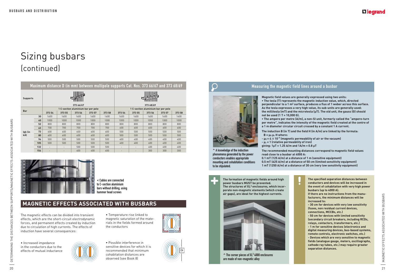![](_page_11_Picture_8.jpeg)

![](_page_11_Picture_13.jpeg)

![](_page_11_Picture_14.jpeg)

![](_page_11_Picture_10.jpeg)

![](_page_11_Picture_11.jpeg)

![](_page_11_Picture_12.jpeg)

# Sizing busbars (continued)

| <b>Supports</b> |                                                                                                                                                                                                                                                                |                          | 373 66/67                          |             |                                                                                  |                                                                                                                         |             | 373 68/69   |                                    |             | Magnetic field values are generally expressed using two units:<br>. The tesla (T) represents the magnetic induction value, which, directed<br>perpendicular to a 1 m <sup>2</sup> surface, produces a flux of 1 weber across this surface.                                                                                                                    |  |
|-----------------|----------------------------------------------------------------------------------------------------------------------------------------------------------------------------------------------------------------------------------------------------------------|--------------------------|------------------------------------|-------------|----------------------------------------------------------------------------------|-------------------------------------------------------------------------------------------------------------------------|-------------|-------------|------------------------------------|-------------|---------------------------------------------------------------------------------------------------------------------------------------------------------------------------------------------------------------------------------------------------------------------------------------------------------------------------------------------------------------|--|
| <b>Bar</b>      |                                                                                                                                                                                                                                                                |                          | 1 C-section aluminium bar per pole |             |                                                                                  |                                                                                                                         |             |             | 1 C-section aluminium bar per pole |             | As the tesla expresses a very high value, its sub-units are generally used:                                                                                                                                                                                                                                                                                   |  |
|                 | 373 54                                                                                                                                                                                                                                                         | 373 55                   | 373 56                             | 373 57      | 373 58                                                                           | 373 54                                                                                                                  | 373 55      | 373 56      | 373 57                             | 373 58      | the millitesla (mT) and the microtesla (µT). The old unit, the gauss (G) should<br>not be used (1 T = 10,000 G).                                                                                                                                                                                                                                              |  |
|                 | 1600<br>30                                                                                                                                                                                                                                                     | 1600                     | 1600                               | 1600        | 1600                                                                             | 1600                                                                                                                    | 1600        | 1600        | 1600                               | 1600        | . The ampere per metre (A/m), a non-SI unit, formerly called the "ampere-turn                                                                                                                                                                                                                                                                                 |  |
|                 | 1000<br>40<br>800                                                                                                                                                                                                                                              | 1000<br>800              | 1000<br>800                        | 1000<br>800 | 1000<br>800                                                                      | 1000<br>800                                                                                                             | 1000<br>800 | 1000<br>800 | 1000<br>800                        | 1000<br>800 | per metre", indicates the intensity of the magnetic field created at the centre of                                                                                                                                                                                                                                                                            |  |
|                 | 52<br>700<br>63                                                                                                                                                                                                                                                | 700                      | 700                                | 700         | 700                                                                              | 600                                                                                                                     | 600         | 600         | 600                                | 600         | a 1 m diameter circular circuit crossed by a constant 1 A current.                                                                                                                                                                                                                                                                                            |  |
| Ipk (ir         | 73<br>600                                                                                                                                                                                                                                                      | 600                      | 600                                | 600         | 600                                                                              | 500                                                                                                                     | 500         | 500         | 500                                | 500         | The induction B (in T) and the field H (in A/m) are linked by the formula:                                                                                                                                                                                                                                                                                    |  |
| kÂ)             | 600<br>80                                                                                                                                                                                                                                                      | 600                      | 600                                | 600         | 600                                                                              | 500                                                                                                                     | 500         | 500         | 500                                | 500         | $B = \mu_0 \mu_r$ H where:                                                                                                                                                                                                                                                                                                                                    |  |
|                 | 500<br>94                                                                                                                                                                                                                                                      | 500                      | 500                                | 500         | 500                                                                              | 400                                                                                                                     | 400         | 400         | 400                                | 400         | $-\mu_0 = 4 \pi 10^{-7}$ (magnetic permeability of air or the vacuum)                                                                                                                                                                                                                                                                                         |  |
|                 | 500<br>105                                                                                                                                                                                                                                                     | 500                      | 500                                | 500         | 500                                                                              | 400                                                                                                                     | 400         | 400         | 400                                | 400         | $- \mu_r = 1$ (relative permeability of iron)                                                                                                                                                                                                                                                                                                                 |  |
|                 | 132                                                                                                                                                                                                                                                            | $\overline{\phantom{a}}$ | 500                                | 500         | 500                                                                              | $\sim$                                                                                                                  | $\sim$      | 400         | 400                                | 400         | giving: $1 \mu T = 1.25$ A/m and $1 A/m = 0.8 \mu T$                                                                                                                                                                                                                                                                                                          |  |
|                 | 154                                                                                                                                                                                                                                                            |                          | 400                                | 400         | 400                                                                              |                                                                                                                         |             | 300         | 300                                | 300         | A knowledge of the induction<br>The recommended mounting distances correspond to magnetic field values<br>phenomena generated by the power<br>read close to a busbar at 4000 A:                                                                                                                                                                               |  |
|                 |                                                                                                                                                                                                                                                                |                          |                                    |             | < Cables are connected<br>to C-section aluminium<br>bars without drilling, using |                                                                                                                         |             |             |                                    |             | The formation of magnetic fields around high<br>The specified separation distances between<br>power busbars MUST be prevented.<br>conductors and devices will be increased in<br>The structures of XL <sup>3</sup> enclosures, which incor-<br>the event of cohabitation with very high power                                                                 |  |
|                 | <b>MAGNETIC EFFECTS ASSOCIATED WITH BUSBARS</b>                                                                                                                                                                                                                |                          |                                    |             | hammer head screws                                                               |                                                                                                                         |             |             |                                    |             | busbars (up to 4000 A).<br>porate non-magnetic elements (which create<br>air gaps), are ideal for the highest currents.<br>If there are no instructions from the manu-<br>facturers, the minimum distances will be<br>increased to:<br>- 30 cm for devices with very low sensitivity                                                                          |  |
|                 | The magnetic effects can be divided into transient<br>effects, which are the short-circuit electrodynamic<br>forces, and permanent effects created by induction<br>due to circulation of high currents. The effects of<br>induction have several consequences: |                          |                                    |             |                                                                                  | • Temperature rise linked to<br>magnetic saturation of the mate-<br>rials in the fields formed around<br>the conductors |             |             |                                    |             | (fuses, non residual current devices,<br>connections, MCCBs, etc.)<br>- 50 cm for devices with limited sensitivity<br>(secondary circuit breakers, including RCDs,<br>relays, contactors, transformers, etc.)<br>- 1 m for sensitive devices (electronics and<br>digital measuring devices, bus-based systems,<br>remote controls, electronic switches, etc.) |  |

## **MAGNETIC EFFECTS ASSOCIATED WITH BUSBARS**

![](_page_11_Picture_21.jpeg)

**^** The corner pieces of XL3 4000 enclosures are made of non-magnetic alloy

![](_page_11_Picture_23.jpeg)

### L<sub>leqrand</sub>

![](_page_11_Picture_3.jpeg)

**<** Cables are connected to C-section aluminium bars without drilling, using hammer head screws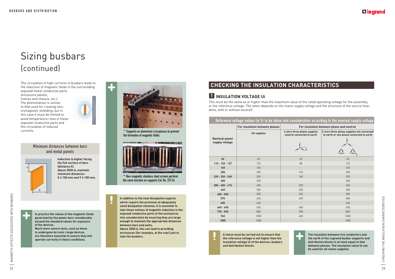![](_page_12_Picture_24.jpeg)

![](_page_12_Picture_25.jpeg)

## **CHECKING THE INSULATION CHARACTERISTICS**

### **1 INSULATION VOLTAGE Ui**

This must be the same as or higher than the maximum value of the rated operating voltage for the assembly, or the reference voltage. The latter depends on the mains supply voltage and the structure of the source (star, delta, with or without neutral).

#### Reference voltage values (in V) to be taken into consideration according to the nominal supply voltage

| the circulation of induced                                                                                                                                                                |                                                                                                                                           |                      | For insulation between phases                                                                                                                                           |                                                           | For insulation between phase and neutral                                                                                                                                                   |
|-------------------------------------------------------------------------------------------------------------------------------------------------------------------------------------------|-------------------------------------------------------------------------------------------------------------------------------------------|----------------------|-------------------------------------------------------------------------------------------------------------------------------------------------------------------------|-----------------------------------------------------------|--------------------------------------------------------------------------------------------------------------------------------------------------------------------------------------------|
| currents.                                                                                                                                                                                 | ^ Supports on aluminium crosspieces to prevent<br>the formation of magnetic fields.                                                       | <b>Nominal power</b> | All supplies                                                                                                                                                            | 4-wire three phase supplies<br>neutral connected to earth | 3-wire three phase supplies not connected<br>to earth or one phase connected to earth                                                                                                      |
| Minimum distances between bars<br>and metal panels                                                                                                                                        |                                                                                                                                           | supply voltage       |                                                                                                                                                                         |                                                           |                                                                                                                                                                                            |
| Induction is higher facing                                                                                                                                                                |                                                                                                                                           | 60                   | 63                                                                                                                                                                      | 32                                                        | 63                                                                                                                                                                                         |
| the flat surface of bars                                                                                                                                                                  |                                                                                                                                           | $110 - 120 - 127$    | 125                                                                                                                                                                     | 80                                                        | 125                                                                                                                                                                                        |
| (distance X).<br>Above 2500 A, maintain                                                                                                                                                   |                                                                                                                                           | 160                  | 160                                                                                                                                                                     | $\sim$                                                    | 160                                                                                                                                                                                        |
| minimum distances:                                                                                                                                                                        |                                                                                                                                           | 208                  | 200                                                                                                                                                                     | 125                                                       | 200                                                                                                                                                                                        |
| $X \ge 150$ mm and $Y \ge 100$ mm.                                                                                                                                                        | ^ Non-magnetic stainless steel screws perform                                                                                             | $220 - 230 - 240$    | 250                                                                                                                                                                     | 160                                                       | 250                                                                                                                                                                                        |
|                                                                                                                                                                                           | the same function on supports Cat. No. 373 24                                                                                             | 300                  | 320                                                                                                                                                                     |                                                           | 320                                                                                                                                                                                        |
|                                                                                                                                                                                           |                                                                                                                                           | $380 - 400 - 415$    | 400                                                                                                                                                                     | 250                                                       | 400                                                                                                                                                                                        |
|                                                                                                                                                                                           |                                                                                                                                           | 440                  | 500                                                                                                                                                                     | 250                                                       | 500                                                                                                                                                                                        |
|                                                                                                                                                                                           |                                                                                                                                           | $480 - 500$          | 500                                                                                                                                                                     | 320                                                       | 500                                                                                                                                                                                        |
|                                                                                                                                                                                           | In addition to the heat dissipation aspects                                                                                               | 575                  | 630                                                                                                                                                                     | 400                                                       | 680                                                                                                                                                                                        |
|                                                                                                                                                                                           | which require the provision of adequately                                                                                                 | 600                  | 630                                                                                                                                                                     | $\sim$                                                    | 630                                                                                                                                                                                        |
|                                                                                                                                                                                           | sized dissipation volumes, it is essential to<br>take these notions of magnetic induction in the                                          | $660 - 690$          | 630                                                                                                                                                                     | 400                                                       | 630                                                                                                                                                                                        |
| In practice the values of the magnetic fields                                                                                                                                             | exposed conductive parts of the enclosures                                                                                                | $720 - 830$          | 800                                                                                                                                                                     | 500                                                       | 800                                                                                                                                                                                        |
| generated by the power bars considerably                                                                                                                                                  | into consideration by ensuring they are large                                                                                             | 960                  | 1000                                                                                                                                                                    | 630                                                       | 1000                                                                                                                                                                                       |
| exceed the standard values for exposure                                                                                                                                                   | enough to maintain the appropriate distances                                                                                              | 1000                 | 1000                                                                                                                                                                    |                                                           | 1000                                                                                                                                                                                       |
| of the devices.<br>Much more severe tests, such as those<br>to undergone by Lexic range devices,<br>are therefore essential to ensure they will<br>operate correctly in these conditions. | between bars and walls.<br>Above 2500 A, this can lead to providing<br>enclosures (for example, at the rear) just to<br>take the busbars. |                      | A check must be carried out to ensure that<br>the reference voltage is not higher than the<br>insulation voltage Ui of the devices, busbars<br>and distribution blocks. |                                                           | The insulation between live conductors and<br>the earth of the Legrand busbar supports and<br>distribution blocks is at least equal to that<br>between phases. The insulation value Ui can |
|                                                                                                                                                                                           |                                                                                                                                           |                      |                                                                                                                                                                         |                                                           | be used for all mains supplies.                                                                                                                                                            |

The circulation of high currents in busbars leads to the induction of magnetic fields in the surrounding exposed metal conductive parts

(enclosure panels, frames and chassis, etc.). The phenomenon is similar to that used for creating electromagnetic shielding, but in this case it must be limited to avoid temperature rises in these exposed conductive parts and the circulation of induced currents.

![](_page_12_Picture_4.jpeg)

#### Minimum distances between bars and metal panels

![](_page_12_Picture_6.jpeg)

![](_page_12_Picture_8.jpeg)

**^** Supports on aluminium crosspieces to prevent the formation of magnetic fields.

![](_page_12_Picture_10.jpeg)

**^** Non-magnetic stainless steel screws perform the same function on supports Cat. No. 373 24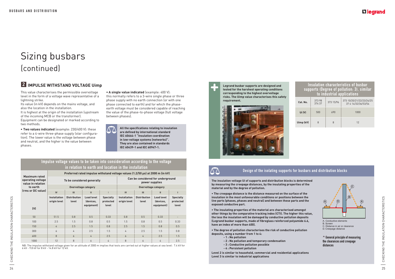CHECKING THE INSULATION CHARACTERISTICS 25CHECKING THE INSULATION CHARACTERISTICS 

**Legrand busbar supports are designed and tested for the harshest operating conditions corresponding to the highest overvoltage risks. The Uimp value characterises this safety requirement.**

![](_page_13_Picture_15.jpeg)

![](_page_13_Picture_16.jpeg)

# Sizing busbars (continued)

• The creepage distance is the distance measured on the surface of the **insulation in the most unfavourable conditions or positions between the live parts (phases, phases and neutral) and between these parts and the exposed conductive part.**

**The insulation voltage Ui of supports and distribution blocks is determined by measuring the creepage distances, by the insulating properties of the material and by the degree of pollution.**

• The insulating properties of the material are characterised amongst **other things by the comparative tracking index (CTI). The higher this value, the less the insulation will be damaged by conductive pollution deposits (Legrand busbar supports, made of fibreglass reinforced polyamide 6.6, have an index of more than 400).**

• The degree of pollution characterises the risk of conductive pollution **deposits, using a number from 1 to 4:**

- **1 : No pollution**
- **2 : No pollution and temporary condensation**
- **3 : Conductive pollution possible**
- **4 : Persistent pollution**

• Two values indicated (example: 230/400 V): these refer to a 4-wire three-phase supply (star configuration). The lower value is the voltage between phase and neutral, and the higher is the value between phases.

> **Level 2 is similar to household, commercial and residential applications Level 3 is similar to industrial applications**

### L<sub>leqrand</sub>

• A single value indicated (example: 400 V): this normally refers to a 3-wire single phase or three phase supply with no earth connection (or with one phase connected to earth) and for which the phaseearth voltage must be considered capable of reaching the value of the phase-to-phase voltage (full voltage between phases).

#### Design of the isolating supports for busbars and distribution blocks

#### Insulation characteristics of busbar supports (Degree of pollution: 3), similar to industrial applications **Cat. No.**  $\begin{array}{|c|c|} \hline 373.98 \\ 374.37 \hline \end{array}$ 374 37 373 15/96 373 10/20/21/22/23/24/25 37 4 14/32/36/53/54

| <b>Ui</b> (V) | 500 | 690 | 1000 |
|---------------|-----|-----|------|
| Uimp (kV)     | 8   | 8   | 12   |

![](_page_13_Figure_32.jpeg)

#### **2 IMPULSE WITHSTAND VOLTAGE Uimp**

This value characterises the permissible overvoltage level in the form of a voltage wave representative of a lightning strike.

Its value (in kV) depends on the mains voltage, and also the location in the installation.

It is highest at the origin of the installation (upstream of the incoming MCB or the transformer). Equipment can be designated or marked according to

two methods.

#### Impulse voltage values to be taken into consideration according to the voltage in relation to earth and location in the installation

| <b>Maximum rated</b>                   |                                     | Preferred rated impulse withstand voltage values (1.2/50 µs) at 2000 m (in kV) |                         |                               |                                                     |                              |                         |                               |  |  |  |  |
|----------------------------------------|-------------------------------------|--------------------------------------------------------------------------------|-------------------------|-------------------------------|-----------------------------------------------------|------------------------------|-------------------------|-------------------------------|--|--|--|--|
| operating voltage<br>value in relation |                                     | To be considered generally                                                     |                         |                               | Can be considered for underground<br>power supplies |                              |                         |                               |  |  |  |  |
| to earth                               |                                     |                                                                                | Overvoltage category    |                               |                                                     |                              | Overvoltage category    |                               |  |  |  |  |
| (rms or DC value)                      | IV                                  | $\mathbf{III}$                                                                 | $\mathbf{II}$           |                               | IV                                                  | III                          | $\mathbf{H}$            |                               |  |  |  |  |
|                                        | <b>Installation</b><br>origin level | <b>Distribution</b><br>level                                                   | Load level<br>(devices, | <b>Specially</b><br>protected | <b>Installation</b><br>origin level                 | <b>Distribution</b><br>level | Load level<br>(devices, | <b>Specially</b><br>protected |  |  |  |  |
| (V)                                    |                                     |                                                                                | equipment)              | level                         |                                                     |                              | equipment)              | level                         |  |  |  |  |
| 50                                     | 51.5                                | 0.8                                                                            | 0.5                     | 0.33                          | 0.8                                                 | 0.5                          | 0.33                    | $\overline{\phantom{a}}$      |  |  |  |  |
| 100                                    | 2.5                                 | 1.5                                                                            | 0.8                     | 0.5                           | 1.5                                                 | 0.8                          | 0.5                     | 0.33                          |  |  |  |  |
| 150                                    | $\overline{4}$                      | 2.5                                                                            | 1.5                     | 0.8                           | 2.5                                                 | 1.5                          | 0.8                     | 0.5                           |  |  |  |  |
| 300                                    | 6                                   | 4                                                                              | 2.5                     | 1.5                           | 4                                                   | 2.5                          | 1.5                     | 0.8                           |  |  |  |  |
| 600                                    | 8                                   | 6                                                                              | 4                       | 2.5                           | 6                                                   | 4                            | 2.5                     | 1.5                           |  |  |  |  |
| 1000                                   | 12                                  | 8                                                                              | 6                       | 4                             | 8                                                   | 6                            | 4                       | 2.5                           |  |  |  |  |

NB: The impulse withstand voltage given for an altitude of 2000 m implies that tests are carried out at higher values at sea level: 7.4 kV for 6 kV - 9.8 kV for 8 kV - 14.8 kV for 12 kV.

**All the specifications relating to insulation**   $\Delta \Delta$ **are defined by international standard IEC 60664-1 "Insulation coordination in low-voltage systems (networks)". They are also contained in standards IEC 60439-1 and IEC 60947-1.**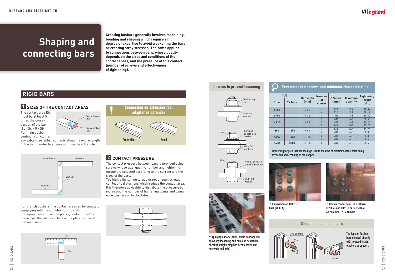# Tightening torques that are too high lead to the limit of elasticity of the bolts being

![](_page_14_Picture_31.jpeg)

![](_page_14_Picture_32.jpeg)

# Connection on extension rod, adaptor or spreader Preferable Avoid

exceeded and creeping of the copper.

## **1 SIZES OF THE CONTACT AREAS**

The contact area (Sc) must be at least 5 times the crosssection of the bar  $(Sb)$ . Sc > 5 x Sb For main busbar continuity links, it is

advisable to establish contacts along the entire length of the bar in order to ensure optimum heat transfer.

# **Shaping and connecting bars**

**Creating busbars generally involves machining, bending and shaping which require a high degree of expertise to avoid weakening the bars or creating stray stresses. The same applies to connections between bars, whose quality depends on the sizes and conditions of the contact areas, and the pressure of this contact (number of screws and effectiveness of tightening).**

# **RIGID BARS**

![](_page_14_Figure_10.jpeg)

![](_page_14_Figure_6.jpeg)

For branch busbars, the contact area can be smaller, complying with the condition Sc > 5 x Sb. For equipment connection plates, contact must be made over the whole surface of the plate for use at nominal current. C-section aluminium bars

![](_page_14_Figure_8.jpeg)

![](_page_14_Figure_18.jpeg)

![](_page_14_Figure_17.jpeg)

![](_page_14_Figure_19.jpeg)

![](_page_14_Picture_26.jpeg)

### **L'I legrand**

![](_page_14_Picture_35.jpeg)

### **2 CONTACT PRESSURE**

The contact pressure between bars is provided using screws whose size, quality, number and tightening torque are selected according to the current and the sizes of the bars.

| Recommended screws and minimum characteristics |                   |                          |                                       |                                  |                               |                         |  |  |  |  |  |
|------------------------------------------------|-------------------|--------------------------|---------------------------------------|----------------------------------|-------------------------------|-------------------------|--|--|--|--|--|
| $\mathsf{I}(\mathsf{A})$                       |                   |                          | <b>Number</b>                         |                                  |                               | <b>Tightening</b>       |  |  |  |  |  |
| 1 bar                                          | $2 + \text{bars}$ | <b>Bar width</b><br>(mm) | οf<br><b>screws</b>                   | <b>Ø Screw</b><br>(mm)           | <b>Minimum</b><br>quantity    | torque<br>(Nm)          |  |  |  |  |  |
| $\leq 250$                                     |                   | $\leq 25$                | 1<br>$\overline{2}$                   | M <sub>8</sub><br>M <sub>6</sub> | $8 - 8$<br>$8 - 8$            | 15/20<br>10/15          |  |  |  |  |  |
| $\leq 400$                                     |                   | $\leq 32$                | 1                                     | M10                              | $6 - 8$                       | 30/35                   |  |  |  |  |  |
| $\leq 630$                                     |                   | $\leq 50$                | 1<br>$\overline{2}$<br>$\overline{2}$ | M12<br>M10<br>M8                 | $6 - 8$<br>$6 - 8$<br>$8 - 8$ | 50/60<br>30/35<br>15/20 |  |  |  |  |  |
| 800                                            | 1250              | $\leq 80$                | 4<br>4                                | M8<br>M10                        | $8 - 8$<br>$6 - 8$            | 15/20<br>30/35          |  |  |  |  |  |
| 1000                                           | 1600              | $\leq 100$               | 4<br>$\overline{2}$                   | M10<br>M12                       | $6 - 8$<br>$6 - 8$            | 30/35<br>50/60          |  |  |  |  |  |
| 1600                                           | 2500              | $\leq 125$               | 4                                     | M12                              | $6 - 8$                       | 50/60                   |  |  |  |  |  |

Too high a tightening torque or not enough screws can lead to distortions which reduce the contact area. It is therefore advisable to distribute the pressure by increasing the number of tightening points and using wide washers or back-plates.

![](_page_14_Figure_15.jpeg)

![](_page_14_Picture_24.jpeg)

**^** Connection on 120 x 10 bars (4000 A)

#### **^** Double connection: 100 x 10 bars (3200 A) and 80 x 10 bars (2500 A) on common 120 x 10 bars

![](_page_14_Picture_20.jpeg)

**^** Applying a mark (paint, brittle coating) will show any loosening and can also be used to check that tightening has been carried out correctly (tell-tale)

#### Devices to prevent loosening

The lugs or flexible bars connect directly with no need to add washers or spacers

RIGID BARS 27 RIGID BARS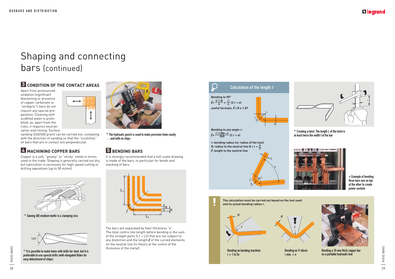### Li legrand

RIGID BARS 29RIGID BARS

Apart from pronounced oxidation (significant blackening or presence of copper carbonate or "verdigris"), bars do not require any special preparation. Cleaning with acidified water is prohibited, as, apart from the risks, it requires neutralisation and rinsing. Surface

![](_page_15_Figure_4.jpeg)

sanding (240/400 grain) can be carried out, complying with the direction of sanding so that the "scratches" on bars that are in contact are perpendicular.

# **4 MACHINING COPPER BARS**

Copper is a soft, "greasy" or "sticky" metal in terms used in the trade. Shaping is generally carried out dry, but lubrication is necessary for high-speed cutting or drilling operations (up to 50 m/mn).

![](_page_15_Picture_8.jpeg)

# **5 BENDING BARS**

It is strongly recommended that a full-scale drawing is made of the bars, in particular for bends and stacking of bars.

![](_page_15_Picture_15.jpeg)

The bars are separated by their thickness "e". The total centre line length before bending is the sum of the straight parts (L1 + L2) that are not subject to any distortion and the length  $\ell$  of the curved elements on the neutral line (in theory at the centre of the thickness of the metal).

![](_page_15_Picture_16.jpeg)

**^** The hydraulic punch is used to make precision holes easily … and with no chips

![](_page_15_Picture_27.jpeg)

Bending a 10 mm thick copper bar on a portable hydraulic tool

Bending on V-block:

![](_page_15_Figure_17.jpeg)

 $r = 1$  to 2e

![](_page_15_Picture_12.jpeg)

# Shaping and connecting bars (continued)

### **3 CONDITION OF THE CONTACT AREAS**

![](_page_15_Picture_13.jpeg)

![](_page_15_Picture_18.jpeg)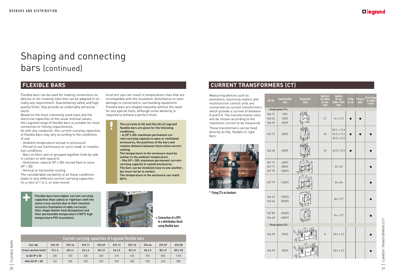# Shaping and connecting bars (continued)

Flexible bars can be used for making connections on devices or for creating links that can be adapted to virtually any requirement. Guaranteeing safety and high quality finish, they provide an undeniably attractive touch.

- Ventilation: natural (IP < 30), forced (fan) or none  $[IP > 30]$ 

Based on the most commonly used sizes and the electrical capacities of the usual nominal values, the Legrand range of flexible bars is suitable for most connection or linking requirements.

As with any conductor, the current-carrying capacities of flexible bars may vary according to the conditions of use:

- Ambient temperature (actual in enclosure)

- Period of use (continuous or cyclic load), or installation conditions

- Bars on their own or grouped together (side by side in contact or with spacers)

- Vertical or horizontal routing.

The considerable variability of all these conditions leads to very different current-carrying capacities (in a ratio of 1 to 2, or even more).

**<** Connection of a DPX to a distribution block using flexible bars

# **CURRENT TRANSFORMERS (CT)**

Incorrect use can result in temperature rises that are incompatible with the insulation, disturbance or even damage to connected or surrounding equipment. Flexible bars are shaped manually without the need for any special tools, although some dexterity is required to achieve a perfect finish.

| <b>Current-carrying capacities of Legrand flexible bars</b> |               |               |               |               |               |               |               |               |                |
|-------------------------------------------------------------|---------------|---------------|---------------|---------------|---------------|---------------|---------------|---------------|----------------|
| Cat. No.                                                    | 374 10        | 374 16        | 374 11        | 374 67        | 374 17        | 374 12        | 374 44        | 374 57        | 374 58         |
| <b>Cross-section (mm)</b>                                   | $13 \times 3$ | $20 \times 4$ | $24 \times 4$ | $20 \times 5$ | $24 \times 5$ | $32 \times 5$ | $40 \times 5$ | $50 \times 5$ | $50 \times 10$ |
| le (A) IP $\leq 30$                                         | 200           | 320           | 400           | 400           | 470           | 630           | 700           | 850           | 1250           |
| Ithe $(A)$ IP $>$ 30                                        | 160           | 200           | 250           | 250           | 520           | 400           | 500           | 630           | 800            |

**Flexible bars have higher current-carrying capacities than cables or rigid bars with the same cross-section due to their lamellar structure (limitation of eddy currents), their shape (better heat dissipation) and their permissible temperature (105°C high temperature PVC insulation).**

#### **The currents Ie (A) and Ithe (A) of Legrand flexible bars are given for the following conditions:**

**- Ie (IP < 30): maximum permanent current-carrying capacity in open or ventilated enclosures, the positions of the bars and** 

- **relative distance between them allow correct cooling.**
- **The temperature in the enclosure must be similar to the ambient temperature.**
- **Ithe (IP > 30): maximum permanent currentcarrying capacity in sealed enclosures. The bars can be installed close to one another,**

**but must not be in contact.**

**The temperature in the enclosure can reach 50°C.**

![](_page_16_Picture_22.jpeg)

| Cat. No.                   | <b>Transformation</b><br>ratio | <b>Dimensions</b><br>(mm) | <b>Aperture</b><br>for cables<br>$\emptyset$ max.<br>(mm) | <b>Apeture</b><br>for bar<br>width x thick.<br>(mm) | <b>Fixing</b><br>on rail | <b>Fixing on</b><br>plate | <b>Direct fixing</b><br>on cables<br>or bars |
|----------------------------|--------------------------------|---------------------------|-----------------------------------------------------------|-----------------------------------------------------|--------------------------|---------------------------|----------------------------------------------|
|                            | <b>Single phase CTs</b>        |                           |                                                           |                                                     |                          |                           |                                              |
| 046 31<br>046 34<br>046 36 | $50/5$<br>100/5<br>200/5       |                           | 21                                                        | 16 x 12.5                                           |                          |                           |                                              |
| 047 75                     | 300/5                          |                           | 23                                                        | 20.5 x 12.5<br>25.5 x 11.5<br>$30.5 \times 10.5$    |                          |                           |                                              |
| 046 38                     | 400/5                          |                           | 35                                                        | $40.5 \times 10.5$                                  |                          |                           |                                              |
| 047 76<br>047 77<br>047 78 | 600/5<br>800/5<br>1000/5       |                           |                                                           | $32 \times 65$                                      |                          |                           |                                              |
| 047 79                     | 1250/5                         |                           |                                                           | 34 x 84                                             |                          |                           |                                              |
| 046 45<br>046 46           | 1500/5<br>2000/5               |                           |                                                           | 38 x 127                                            |                          |                           |                                              |
| 04780<br>046 48            | 2500/5<br>4000/5               |                           |                                                           | 54 x 127                                            |                          |                           |                                              |
|                            | <b>Three-phase CTs</b>         |                           |                                                           |                                                     |                          |                           |                                              |
| 046 98                     | 250/5                          | 58,5<br>25                | 8                                                         | $20.5 \times 5.5$                                   |                          |                           |                                              |
| 046 99                     | 400/5                          | 135<br>66,5<br>ଖ୍         |                                                           | $30.5 \times 5.5$                                   |                          |                           |                                              |

### **L'Ilegrand**

 $\frac{12}{10}$  CURRENT TRANSFORMERS (CT) CURRENT TRANSFORMERS (CT)

**^** Fixing CTs on busbars

Measuring devices such as ammeters, electricity meters and multifunction control units are connected via current transformers which provide a current of between 0 and 5 A. The transformation ratio will be chosen according to the maximum current to be measured. These transformers can be fixed directly on flat, flexible or rigid bars.

![](_page_16_Picture_27.jpeg)

## **FLEXIBLE BARS**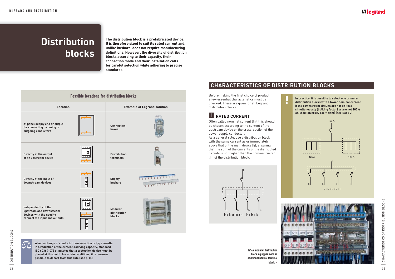**In practice, it is possible to select one or more distribution blocks with a lower nominal current if the downstream circuits are not on-load simultaneously (bulking factor) or are not 100% on-load (diversity coefficient) (see Book 2).**

#### Li legrand

# **Distribution blocks**

**The distribution block is a prefabricated device. It is therefore sized to suit its rated current and, unlike busbars, does not require manufacturing definitions. However, the diversity of distribution blocks according to their capacity, their connection mode and their installation calls for careful selection while adhering to precise standards.**

![](_page_17_Figure_17.jpeg)

![](_page_17_Picture_18.jpeg)

Before making the final choice of product, a few essential characteristics must be checked. These are given for all Legrand distribution blocks.

# **1 RATED CURRENT**

Often called nominal current (In), this should be chosen according to the current of the upstream device or the cross-section of the power supply conductor.

![](_page_17_Figure_11.jpeg)

As a general rule, use a distribution block with the same current as or immediately above that of the main device  $(I_t)$ , ensuring that the sum of the currents of the distributed circuits is not higher than the nominal current (In) of the distribution block.

> 125 A modular distribution block equipped with an additional neutral terminal

> > block **>**

# **CHARACTERISTICS OF DISTRIBUTION BLOCKS**

 $\ddot{\bullet}$ 

**When a change of conductor cross-section or type results in a reduction of the current-carrying capacity, standard IEC 60364-473 stipulates that a protection device must be placed at this point. In certain conditions, it is however possible to depart from this rule (see p. 03)** 

![](_page_17_Figure_3.jpeg)

![](_page_17_Picture_4.jpeg)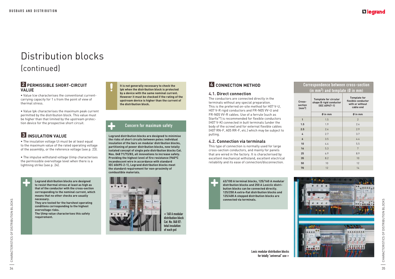CHARACTERISTICS OF DISTRIBUTION BLOCKS 35CHARACTERISTICS OF DISTRIBUTION BLOCKS 

**Legrand distribution blocks are designed to minimise the risks of short circuits between poles: individual insulation of the bars on modular distribution blocks, partitioning of power distribution blocks, new totally isolated concept of single pole distribution blocks Cat. Nos. 048 71/73/83, all innovations to increase safety. Providing the highest level of fire resistance (960°C incandescent wire in accordance with standard IEC 60695-2-1), Legrand distribution blocks meet the standard requirement for non-proximity of combustible materials.**

![](_page_18_Picture_15.jpeg)

#### **2 PERMISSIBLE SHORT-CIRCUIT VALUE**

• Value Icw characterises the conventional currentcarrying capacity for 1 s from the point of view of thermal stress.

• Value lpk characterises the maximum peak current permitted by the distribution block. This value must be higher than that limited by the upstream protection device for the prospective short circuit.

## **3** INSULATION VALUE

• The insulation voltage Ui must be at least equal to the maximum value of the rated operating voltage of the assembly, or the reference voltage (see p. 23).

#### Concern for maximum safety

**<** 160 A modular distribution block Cat. No. 048 87: total insulation of each pol

• The impulse withstand voltage Uimp characterises the permissible overvoltage level when there is a lightning strike (see p. 24).

![](_page_18_Picture_8.jpeg)

# Distribution blocks (continued)

**Legrand distribution blocks are designed to resist thermal stress at least as high as that of the conductor with the cross-section corresponding to the nominal current, which means that no other checks are usually necessary.**

**They are tested for the harshest operating conditions corresponding to the highest overvoltage risks. The Uimp value characterises this safety** 

**requirement.**

**It is not generally necessary to check the Ipk when the distribution block is protected by a device with the same nominal current. However it must be checked if the rating of the upstream device is higher than the current of the distribution block.**

## **4 CONNECTION METHOD**

#### **4.1. Direct connection**

The conductors are connected directly in the terminals without any special preparation. This is the preferred on-site method for H07 V-U, H07 V-R rigid conductors and FR-N05 VV-U and  $FR-NO5$  VV-R cables. Use of a ferrule (such as  $Startix^M$  is recommended for flexible conductors  $H$  (H07 V-K) connected in butt terminals funder the body of the screw) and for external flexible cables (H07 RN-F, A05 RR-F, etc.) which may be subject to pulling.

#### **4.2. Connection via terminals**

This type of connection is normally used for large cross-section conductors, and mainly for panels that are wired in the factory. It is characterised by excellent mechanical withstand, excellent electrical reliability and its ease of connection/disconnection.

### L<sub>leqrand</sub>

#### Correspondence between cross-section (in mm2 ) and template (Ø in mm)

| Cross-<br>section<br>(mm <sup>2</sup> ) | <b>Template for circular</b><br>shape B rigid conductor<br>(IEC 60947-1) | <b>Template for</b><br>flexible conductor<br>with or without<br>cable end |  |  |
|-----------------------------------------|--------------------------------------------------------------------------|---------------------------------------------------------------------------|--|--|
|                                         | $\emptyset$ in mm                                                        | $\emptyset$ in mm                                                         |  |  |
| 1                                       | 1.5                                                                      | $\overline{2}$                                                            |  |  |
| 1.5                                     | 1.9                                                                      | 2.4                                                                       |  |  |
| 2.5                                     | 2.4                                                                      | 2.9                                                                       |  |  |
| 4                                       | 2.7                                                                      | 3.7                                                                       |  |  |
| 6                                       | 3.5                                                                      | 4.4                                                                       |  |  |
| 10                                      | 4.4                                                                      | 5.5                                                                       |  |  |
| 16                                      | 5.3                                                                      | 7                                                                         |  |  |
| 25                                      | 6.9                                                                      | 8.9                                                                       |  |  |
| 35                                      | 8.2                                                                      | 10                                                                        |  |  |
| 50                                      | 10                                                                       | 12                                                                        |  |  |
| 70                                      | 12                                                                       | 14                                                                        |  |  |

![](_page_18_Picture_29.jpeg)

**63/100 A terminal blocks, 125/160 A modular distribution blocks and 250 A Lexiclic distribution blocks can be connected directly. 125/250 A extra-flat distribution blocks and 125/400 A stepped distribution blocks are connected via terminals.**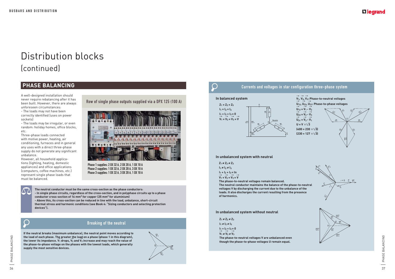PHASE BALANCING 37PHASE BALANCING

#### **In unbalanced system with neutral**

 $Z_1 \neq Z_2 \neq Z_3$ 

 $\bigcirc$ 

 $I_1 \neq I_2 \neq I_3$ 

#### **In unbalanced system without neutral**

A well-designed installation should never require rebalancing after it has been built. However, there are always unforeseen circumstances:

- The loads may not have been correctly identified (uses on power sockets)

- The loads may be irregular, or even random: holiday homes, office blocks, etc.

Three-phase loads connected with motive power, heating, air conditioning, furnaces and in general any uses with a direct three-phase supply do not generate any significant unbalance.

However, all household applications (lighting, heating, domestic appliances) and office applications (computers, coffee machines, etc.) represent single phase loads that must be balanced.

Row of single phase outputs supplied via a DPX 125 (100 A)

![](_page_19_Picture_9.jpeg)

Phase 1 supplies: 2 DX 32 A, 2 DX 20 A, 1 DX 10 A Phase 2 supplies: 1 DX 32 A, 2 DX 20 A, 3 DX 10 A Phase 3 supplies: 1 DX 32 A, 3 DX 20 A, 1 DX 10 A

 $\Delta \Delta$ 

## **PHASE BALANCING**

 $I_1 + I_2 + I_3 = In$ → → →→

 $V_1 = V_2 = V_3 = V$ 

**The neutral conductor must be the same cross-section as the phase conductors: - In single phase circuits, regardless of the cross-section, and in polyphase circuits up to a phase conductor cross-section of 16 mm2 for copper (25 mm2 for aluminium) - Above this, its cross-section can be reduced in line with the load, unbalance, short-circuit thermal stress and harmonic conditions (see Book 4: "Sizing conductors and selecting protection devices").**

 $\bigcap$ 

 $Z_1 \neq Z_2 \neq Z_3$  $I_1 \neq I_2 \neq I_3$  $I_1 + I_2 + I_3 = 0$  $\overrightarrow{V}_1 \neq \overrightarrow{V}_2 \neq \overrightarrow{V}_3$ **The phase-to-neutral voltages V are unbalanced even though the phase-to-phase voltages U remain equal.**

### L<sub>leqrand</sub>

![](_page_19_Figure_18.jpeg)

# Distribution blocks (continued)

**If the neutral breaks (maximum unbalance), the neutral point moves according to the load of each phase. The greater the load on a phase (phase 1 in this diagram),**  the lower its impedance. V<sub>1</sub> drops, V<sub>2</sub> and V<sub>3</sub> increase and may reach the value of  $\frac{1}{2}$ **the phase-to-phase voltage on the phases with the lowest loads, which generally supply the most sensitive devices.**

![](_page_19_Figure_17.jpeg)

 $\mathbf{I}_3$ 

 $U_{23}$ 

 $V_3 \rightarrow V_2$ 

 $Z_3$   $Z_2$ 

 $\mathbf{I}_2$ 

#### Breaking of the neutral

![](_page_19_Picture_16.jpeg)

**The phase-to-neutral voltages remain balanced.**

**The neutral conductor maintains the balance of the phase-to-neutral voltages V by discharging the current due to the unbalance of the loads. It also discharges the current resulting from the presence of harmonics.**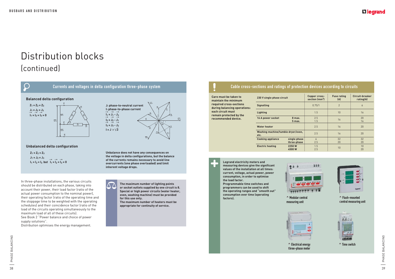SO | PHASE BALANCING 39PHASE BALANCING

#### **Care must be taken to maintain the minimum required cross-sections during balancing operations: each circuit must remain protected by the recommended device. 230 V single phase circuit Copper cross-Signalling 16 A power socket** 8 may  **5 max. Water heater**

#### Cable cross-sections and ratings of protection devices according to circuits

**Washing machine/tumble dryer/over Cooking appliance** single p three-ph **Electric heating 2250 W 4500 W**

| 230 V single phase circuit                 |                             | Copper cross-<br>section (mm <sup>2</sup> ) | <b>Fuse rating</b><br>(A) | <b>Circuit-breaker</b><br>rating(A) |
|--------------------------------------------|-----------------------------|---------------------------------------------|---------------------------|-------------------------------------|
| <b>Signalling</b>                          |                             | 0.75/1                                      | $\overline{2}$            | 6                                   |
| Lighting                                   |                             | 1.5                                         | 10                        | 16                                  |
| 16 A power socket                          | 8 max.<br>5 <sub>max</sub>  | 2.5<br>1.5                                  | 16                        | 20<br>16                            |
| <b>Water heater</b>                        |                             | 2.5                                         | 16                        | 20                                  |
| Washing machine/tumble dryer/oven,<br>etc. |                             | 2.5                                         | 16                        | 20                                  |
| <b>Cooking appliance</b>                   | single phase<br>three-phase | $\overline{6}$<br>2.5                       | 32<br>20                  | 32<br>20                            |
| <b>Electric heating</b>                    | 2250 W<br>4500 W            | 1.5<br>2.5                                  | 10                        | 10<br>20                            |

![](_page_20_Picture_20.jpeg)

![](_page_20_Picture_22.jpeg)

In three-phase installations, the various circuits should be distributed on each phase, taking into account their power, their load factor (ratio of the actual power consumption to the nominal power), their operating factor (ratio of the operating time and the stoppage time to be weighted with the operating schedules) and their coincidence factor (ratio of the load of the circuits operating simultaneously to the maximum load of all of these circuits).

**Legrand electricity meters and measuring devices give the significant values of the installation at all times: current, voltage, actual power, power consumption, in order to optimise the load factor.** 

**Programmable time switches and programmers can be used to shift the operating ranges and "smooth out" consumption over time (operating** 

![](_page_20_Picture_11.jpeg)

**factors). ^** Modular central measuring unit

![](_page_20_Picture_13.jpeg)

### **L'I legrand**

![](_page_20_Picture_26.jpeg)

![](_page_20_Figure_2.jpeg)

See Book 2 "Power balance and choice of power supply solutions".

Distribution optimises the energy management.

![](_page_20_Picture_6.jpeg)

**^** Electrical energy **t**hree-phase meter

![](_page_20_Picture_24.jpeg)

#### **^** Flush-mounted **c**entral measuring unit

# Distribution blocks (continued)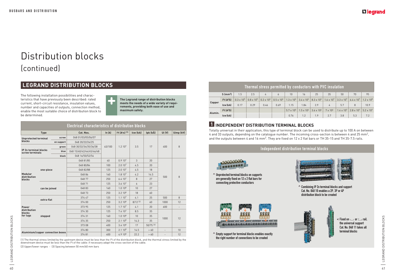|         | Thermal stress permitted by conductors with PVC insulation $^{\dagger}$ |                   |                   |                     |                     |                   |                                           |                     |                     |                     |                     |                     |  |
|---------|-------------------------------------------------------------------------|-------------------|-------------------|---------------------|---------------------|-------------------|-------------------------------------------|---------------------|---------------------|---------------------|---------------------|---------------------|--|
|         | $S$ (mm <sup>2</sup> )                                                  | 1.5               | 2.5               | $\frac{1}{4}$       | 6                   | 10                | 16                                        | 25                  | 35                  | 50                  | 70                  | 95                  |  |
|         | 1 <sup>2</sup> t(A <sup>2</sup> S)                                      | $0.3 \times 10^5$ | $0.8 \times 10^5$ | $0.2 \times 10^{6}$ | $0.5 \times 10^{6}$ |                   | $1.3 \times 10^{6}$ 3.4 x 10 <sup>6</sup> | $8.3 \times 10^{6}$ | $1.6 \times 10^{7}$ | $3.3 \times 10^{7}$ | $6.4 \times 10^{7}$ | $1.2 \times 10^8$   |  |
| Copper  | Icw (kA)                                                                | 0.17              | 0.29              | 0.46                | 0.69                | 1.15              | 1.84                                      | 2.9                 | 4                   | 5.7                 | 8                   | 10.9                |  |
|         | I <sup>2</sup> t(A <sup>2</sup> S)                                      |                   |                   |                     |                     | $5.7 \times 10^5$ | $1.5 \times 10^{6}$                       | $3.6 \times 10^{6}$ | $7 \times 10^6$     | $1.4 \times 10^{7}$ | $2.8 \times 10^{7}$ | $5.2 \times 10^{7}$ |  |
| Alumin. | Icw (kA)                                                                |                   |                   |                     |                     | 0.76              | 1.2                                       | 1.9                 | 2.7                 | 3.8                 | 5.3                 | 7.2                 |  |

(1) The thermal stress limited by the upstream device must be less than the  $l^2$ t of the distribution block, and the thermal stress limited by the downstream device must be less than the I2t of the cable: if necessary adapt the cross-section of the cable.

|                                                 | <b>Electrical characteristics of distribution blocks</b> |            |                          |          |                                             |                       |           |                          |                |
|-------------------------------------------------|----------------------------------------------------------|------------|--------------------------|----------|---------------------------------------------|-----------------------|-----------|--------------------------|----------------|
|                                                 | <b>Type</b>                                              |            | Cat. Nos.                | In $(A)$ | $1^{2}$ t (A <sup>2</sup> s) <sup>(1)</sup> | Icw (kA)              | Ipk (kÂ)  | <b>Ui (V)</b>            | Uimp (kV)      |
|                                                 | screw<br><b>Unprotected terminal</b>                     |            | 048 01/03/05/06/07       |          |                                             |                       |           |                          |                |
| blocks                                          |                                                          | on support | 048 20/22/24/25          |          |                                             |                       |           |                          | 8              |
|                                                 |                                                          | green      | 048 30/32/34/35/36/38    | 63/100   | 1.210 <sup>7</sup>                          | 3.5                   | 17        | 400                      |                |
| <b>IP 2x terminal blocks</b><br>screw terminals |                                                          | blue       | 048 15/40/42/44/45/46/48 |          |                                             |                       |           |                          |                |
|                                                 |                                                          | black      | 048 16/50/52/54          |          |                                             |                       |           |                          |                |
|                                                 |                                                          |            | 048 81/85                | 40       | 0.910 <sup>7</sup>                          | 3                     | 20        |                          |                |
|                                                 |                                                          |            | 048 80/84                | 100      | 2.010 <sup>7</sup>                          | 4.5                   | 20        |                          |                |
|                                                 | one-piece                                                |            | 048 82/88                | 125      | 2.010 <sup>7</sup>                          | 4.5                   | 18        |                          | 8              |
| Modular<br>distribution                         |                                                          |            | 04886                    | 160      | 1.810 <sup>7</sup>                          | 4.2                   | 14.5      | 500                      |                |
| blocks                                          |                                                          |            | 048 77                   | 250      | 6.410 <sup>7</sup>                          | 8                     | 27        |                          |                |
|                                                 | can be joined                                            |            | 048 71                   | 125      | 3.610 <sup>7</sup>                          | $\overline{6}$        | 23        |                          |                |
|                                                 |                                                          |            | 048 83                   | 160      | $1.010^{8}$                                 | 10                    | 27        |                          |                |
|                                                 |                                                          |            | 048 73                   | 250      | 3.210 <sup>8</sup>                          | 18                    | 60        |                          |                |
|                                                 | extra-flat                                               |            | 374 47                   | 125      | 1.110 <sup>7</sup>                          | 4.1                   | 25        | 500                      | 8              |
|                                                 |                                                          |            | 374 00                   | 250      | 3.210 <sup>8</sup>                          | $8/12$ <sup>(2)</sup> | 60        | 1000                     | 12             |
| <b>Power</b>                                    |                                                          |            | 373 95                   | 125      | 1.710 <sup>7</sup>                          | 4.1                   | 20        | 600                      | $\overline{a}$ |
| distribution<br>blocks                          |                                                          |            | 374 30                   | 125      | 7.410 <sup>7</sup>                          | 8.5                   | 35        |                          |                |
| for lugs                                        | stepped                                                  |            | 374 31                   | 160      | $1.010^{8}$                                 | 10                    | 35        | 1000                     | 12             |
|                                                 |                                                          |            | 374 35                   | 250      | 2.110 <sup>8</sup>                          | 14.3                  | 35        |                          |                |
|                                                 |                                                          |            | 373 08                   | 400      | 3.410 <sup>8</sup>                          | 17                    | 50/75 [3] |                          |                |
|                                                 |                                                          |            | 374 80                   | 300      | 2.110 <sup>8</sup>                          | 14.5                  | >60       | $\overline{\phantom{a}}$ | 10             |
|                                                 | Aluminium/copper connection boxes                        |            | 37481                    | 400      | 4.910 <sup>8</sup>                          | 22.2                  | >60       |                          | 12             |

Totally universal in their application, this type of terminal block can be used to distribute up to 100 A on between 4 and 33 outputs, depending on the catalogue number. The incoming cross-section is between 4 and 25 mm2, and the outputs between 4 and 16 mm<sup>2</sup>. They are fixed on 12 x 2 flat bars or TH 35-15 and TH 35-7.5 rails.

(2) Upper/lower ranges - (3) Spacing between 50 mm/60 mm bars

## **LEGRAND DISTRIBUTION BLOCKS**

The following installation possibilities and characteristics that have previously been described: rated current, short-circuit resistance, insulation values, number and capacities of outputs, connection method, enable the most suitable choice of distribution block to be determined.

![](_page_21_Picture_4.jpeg)

**The Legrand range of distribution blocks meets the needs of a wide variety of requirements, providing both ease of use and maximum safety.**

## **1 INDEPENDENT DISTRIBUTION TERMINAL BLOCKS**

![](_page_21_Picture_12.jpeg)

## L<sub>legrand</sub>

 $\leq$  Fixed on  $\sim$  or  $\sim$  rail, the universal support Cat. No. 048 11 takes all<br>terminal blocks

 $\frac{1}{2}$  LEGRAND DISTRIBUTION BLOCKS  $\frac{1}{2}$  LEGRAND DISTRIBUTION BLOCKS

# Distribution blocks (continued)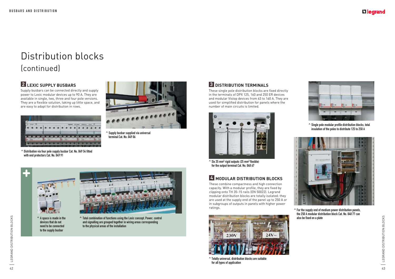These single pole distribution blocks are fixed directly in the terminals of DPX 125, 160 and 250 ER devices and modular Vistop devices from 63 to 160 A. They are used for simplified distribution for panels where the number of main circuits is limited.

**^** Supply busbar supplied via universal terminal Cat. No. 049 06

# **2 LEXIC SUPPLY BUSBARS**

Supply busbars can be connected directly and supply power to Lexic modular devices up to 90 A. They are available in single, two, three and four pole versions. They are a flexible solution, taking up little space, and are easy to adapt for distribution in rows.

> **^** Total combination of functions using the Lexic concept. Power, control and signalling are grouped together in wiring areas corresponding to the physical areas of the installation

### **3 DISTRIBUTION TERMINALS**

![](_page_22_Picture_14.jpeg)

^ Six 35 mm<sup>2</sup> rigid outputs (25 mm<sup>2</sup> flexible) for the output terminal Cat. No. 048 67

**^** A space is made in the devices that do not need to be connected to the supply busbar

![](_page_22_Picture_10.jpeg)

![](_page_22_Picture_18.jpeg)

**^** Totally universal, distribution blocks are suitable for all types of application

### L<sub>legrand</sub>

![](_page_22_Picture_23.jpeg)

**^** For the supply end of medium power distribution panels, the 250 A modular distribution block Cat. No. 048 77 can also be fixed on a plate

ES | LEGRAND DISTRIBUTION BLOCKS ts | LEGRAND DISTRIBUTION BLOCKS

## **4 MODULAR DISTRIBUTION BLOCKS**

These combine compactness and high connection capacity. With a modular profile, they are fixed by clipping onto TH 35-15 rails (EN 50022). Legrand modular distribution blocks are totally isolated: they are used at the supply end of the panel up to 250 A or in subgroups of outputs in panels with higher power ratings.

# Distribution blocks (continued)

**^** Single pole modular profile distribution blocks, total insulation of the poles to distribute 125 to 250 A

![](_page_22_Picture_25.jpeg)

![](_page_22_Picture_4.jpeg)

**^** Distribution via four pole supply busbar Cat. No. 049 54 fitted with end protectors Cat. No. 049 91

![](_page_22_Picture_6.jpeg)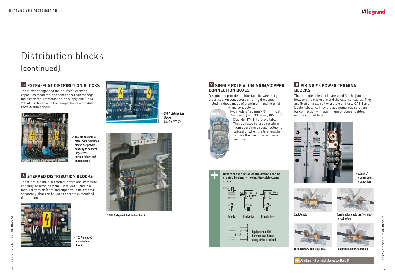#### **7 SINGLE POLE ALUMINIUM/COPPER CONNECTION BOXES**

Designed to provide the interface between large cross-section conductors entering the panel, including those made of aluminium, and internal

![](_page_23_Picture_16.jpeg)

wiring conductors. Two models 120 mm2/70 mm2 (Cat. No. 374 80) and 300 mm2/185 mm2 (Cat. No. 374 81) are available. They can also be used for alumi-

nium operating circuits (outgoing cables) or when the line lengths require the use of large crosssections.

#### **8 VIKING™3 POWER TERMINAL BLOCKS**

These single pole blocks are used for the junction between the enclosure and the external cables. They are fixed on a  $\sqcup$  rail or a plate and take CAB 3 and Duplix labelling. They provide numerous solutions for connection with aluminium or copper cables, with or without lugs.

Equipotential link

between two boxes using strips provided

### Lilegrand

# **6 STEPPED DISTRIBUTION BLOCKS**

These are available in catalogue versions, complete and fully-assembled from 125 to 400 A, and in a modular version (bars and supports to be ordered separately) that can be used to create customised distribution.

# **5 EXTRA-FLAT DISTRIBUTION BLOCKS**

Their lower height and their current-carrying capacities mean that the same panel can manage the power requirements for the supply end (up to 250 A) combined with the compactness of modular rows in slim panels.

![](_page_23_Picture_4.jpeg)

![](_page_23_Picture_19.jpeg)

![](_page_23_Picture_20.jpeg)

**<** The key features of extra-flat distribution blocks are power, capacity to connect large crosssection cables and compactness.

![](_page_23_Picture_8.jpeg)

**<** 125 A stepped distribution block

![](_page_23_Picture_10.jpeg)

**<** 250 A distribution blocks Cat. No. 374 35

![](_page_23_Picture_12.jpeg)

**^** 400 A stepped distribution block

![](_page_23_Picture_32.jpeg)

**<** Alumin./ copper direct connection

![](_page_23_Picture_34.jpeg)

Cable/cable

![](_page_23_Picture_36.jpeg)

Terminal for cable lug/Cable

![](_page_23_Picture_38.jpeg)

Terminal for cable lug/Terminal for cable lug

![](_page_23_Picture_40.jpeg)

Cable/Terminal for cable lug

# Distribution blocks (continued)

Junction Distribution Branch-line

![](_page_23_Picture_22.jpeg)

|ama||ama|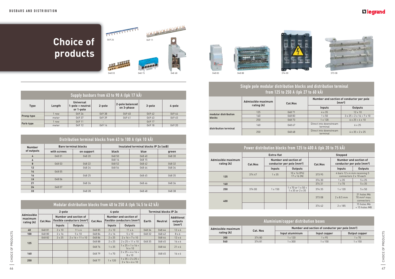#### <sup>46</sup> <sup>47</sup> CHOICE OF PRODUCTS CHOICE OF PRODUCTS Modular distribution blocks from 40 to 250 A (Ipk 14.5 to 42 kÂ) **Admissible maximum rating (A) 2-pole 4-pole Terminal blocks IP 2x Cat.Nos Number and section of fl exible conductors (mm²) Cat.Nos Number and section of fl exible conductors (mm²) Earth Neutral Additional outputs (mm²) Inputs Outputs Inputs Outputs 40** | 04881 | 2x10 | 11x4 | 04885 | 2x10 | 11x4 | 04834 | 04844 | 12x6 **100** | 04880 | 2x16 | 5x10 | 04884 | 2x16 | 5x10 | 04832 | 04842 | 8x6 **125**  $04882$   $2 \times 25$   $2 \times 16 + 11 \times 10$   $04886$   $2 \times 25$   $2 \times 16 + 7 \times 10$   $04844$   $12 \times 6$  $04888$   $2 \times 25$   $2 \times 25 + 11 \times 10$  048 35 048 45 16  $\times 6$ 048 76  $1 \times 35$   $1 \times 25 + 1 \times 16 +$  $\begin{array}{c|c|c|c|c|c|c|c|c} \hline 125 + 1 \times 16 + & 04846 & 21 \times 6 \ \hline \end{array}$ **<sup>160</sup>** 048 79 &m,% 'm'\* )m&+  $\begin{array}{c|c|c|c|c|c|c|c|c} 25 + 4 \times 16 & + & 048 & 45 & 16 \times 6 \ 8 \times 10 & & & & \end{array}$ **250** 048 77  $1 \times 120$   $1 \times 35 + 2 \times 25 + 1 \times 120$  $2 \times 16 + 6 \times 10$

![](_page_24_Picture_5.jpeg)

![](_page_24_Picture_6.jpeg)

|             | Supply busbars from 63 to 90 A (lpk 17 kÂ) |                                                   |        |                               |        |        |  |  |  |  |  |  |
|-------------|--------------------------------------------|---------------------------------------------------|--------|-------------------------------|--------|--------|--|--|--|--|--|--|
| <b>Type</b> | Length                                     | <b>Universal</b><br>1-pole + neutral<br>or 1-pole | 2-pole | 2-pole balanced<br>on 3-phase | 3-pole | 4-pole |  |  |  |  |  |  |
|             | 1 row                                      | 049 26                                            | 049 38 | 04940                         | 04942  | 049 44 |  |  |  |  |  |  |
| Prong-type  | meter                                      | 04937                                             | 049 39 | 04941                         | 049 43 | 049 45 |  |  |  |  |  |  |
| Fork-type   | 1 row                                      | 049 11                                            | -      |                               | 049 17 |        |  |  |  |  |  |  |
|             | meter                                      | 049 12                                            | 049 14 |                               | 049 18 | 049 20 |  |  |  |  |  |  |

|               | Distribution terminal blocks from 63 to 100 A (lpk 10 kÂ) |                             |        |                                       |        |  |  |  |  |  |  |  |  |
|---------------|-----------------------------------------------------------|-----------------------------|--------|---------------------------------------|--------|--|--|--|--|--|--|--|--|
| <b>Number</b> |                                                           | <b>Bare terminal blocks</b> |        | Insulated terminal blocks IP 2x (xxB) |        |  |  |  |  |  |  |  |  |
| of outputs    | with screws                                               | on support                  | black  | blue                                  | green  |  |  |  |  |  |  |  |  |
| 4             | 048 01                                                    | 048 20                      | 048 50 | 048 40                                | 048 30 |  |  |  |  |  |  |  |  |
| 6             |                                                           |                             | 048 16 | 048 15                                |        |  |  |  |  |  |  |  |  |
| 8             | 048 03                                                    | 048 22                      | 048 52 | 048 42                                | 048 32 |  |  |  |  |  |  |  |  |
| 12            |                                                           | 048 24                      | 048 54 | 048 44                                | 048 34 |  |  |  |  |  |  |  |  |
| 14            | 048 05                                                    |                             |        |                                       |        |  |  |  |  |  |  |  |  |
| 16            |                                                           | 048 25                      |        | 048 45                                | 048 35 |  |  |  |  |  |  |  |  |
| 19            | 048 06                                                    |                             |        |                                       |        |  |  |  |  |  |  |  |  |
| 21            |                                                           | 048 26                      |        | 048 46                                | 048 36 |  |  |  |  |  |  |  |  |
| 24            | 048 07                                                    |                             |        |                                       |        |  |  |  |  |  |  |  |  |
| 33            |                                                           | 048 28                      |        | 048 48                                | 048 38 |  |  |  |  |  |  |  |  |

# 049 26 049 11 DO 049 11 DO 049 11 DO 049 11 DO 049 11 DO 049 11 DO 049 11 DO 049 11 DO 049 11 DO 049 11 DO 049 11 DO 049 11 DO 049 11 DO 049 11 DO 049 11 DO 049 11 DO 049 11 DO 049 11 DO 049 11 DO 049 11 DO 049 11 DO 049 1 FITTITTI **Choice of products MELLER** 048 03 048 15 048 68 048 83 048 88 374 00 373 08

#### Single pole modular distribution blocks and distribution terminal from 125 to 250 A (Ipk 27 to 60 kÂ)

|                                | Admissible maximum<br>rating (A) | Cat.Nos | Number and section of conductor per pole<br>$\text{m}^2$ |                                           |  |
|--------------------------------|----------------------------------|---------|----------------------------------------------------------|-------------------------------------------|--|
|                                |                                  |         | Inputs                                                   | <b>Outputs</b>                            |  |
|                                | 125                              | 048 71  | $4 \times 35$                                            | $12 \times 10$                            |  |
| modular distribution<br>blocks | 160                              | 04883   | $1 \times 50$                                            | $3 \times 25 + 2 \times 16 + 7 \times 10$ |  |
|                                | 250                              | 04873   | $1 \times 120$                                           | $6 \times 25 + 4 \times 10$               |  |
| distribution terminal          | 160                              | 048 67  | Direct into downstream<br>terminal                       | $6 \times 25$                             |  |
|                                | 250                              | 048 68  | Direct into downstream<br>terminal                       | $4 \times 35 + 2 \times 25$               |  |

|                                  | Power distribution blocks from 125 to 400 A (lpk 20 to 75 kÅ) |                |                                                                    |                |                                                                |                                                              |  |  |  |  |
|----------------------------------|---------------------------------------------------------------|----------------|--------------------------------------------------------------------|----------------|----------------------------------------------------------------|--------------------------------------------------------------|--|--|--|--|
|                                  |                                                               | Extra-flat     |                                                                    | <b>Stepped</b> |                                                                |                                                              |  |  |  |  |
| Admissible maximum<br>rating (A) | Cat.Nos                                                       |                | Number and section of<br>conductor per pole (mm <sup>2</sup> )     | Cat.Nos        | Number and section of<br>conductor per pole (mm <sup>2</sup> ) |                                                              |  |  |  |  |
|                                  |                                                               | Inputs         | <b>Outputs</b>                                                     |                | Inputs                                                         | <b>Outputs</b>                                               |  |  |  |  |
| 125                              | 37447                                                         | $1 \times 35$  | $10 \times 16$ (Ph)<br>$17 \times 16$ (N)                          | 37395          | 4 bars 12 x 4 mm receiving 5<br>connectors 2 x 10 each         |                                                              |  |  |  |  |
|                                  |                                                               |                |                                                                    | 374 30         | $1 \times 35$                                                  | $5 \times 25$                                                |  |  |  |  |
| 160                              |                                                               |                |                                                                    | 374 31         | $1 \times 70$                                                  | $5 \times 35$                                                |  |  |  |  |
| 250                              | 374 00                                                        | $1 \times 150$ | $1 \times 70$ or $1 \times 50 +$<br>$1 \times 35$ or $2 \times 35$ | 374 35         | $1 \times 120$                                                 | $5 \times 50$                                                |  |  |  |  |
| 400                              |                                                               |                |                                                                    | 373 08         | $2 \times 8.5$ mm                                              | 21 holes M6<br>$70 \text{ mm}^2 \text{ max}$ .<br>connectors |  |  |  |  |
|                                  |                                                               |                |                                                                    | 374 42         | $2 \times 185$                                                 | 15 holes M6<br>$+15$ holes M8                                |  |  |  |  |

|  | Aluminium/copper distribution boxes |          |                                                             |                |                |  |  |
|--|-------------------------------------|----------|-------------------------------------------------------------|----------------|----------------|--|--|
|  | Admissible maximum<br>rating (A)    | Cat. Nos | Number and section of conductor per pole (mm <sup>2</sup> ) |                |                |  |  |
|  |                                     |          | Input aluminium                                             | Input copper   | Output copper  |  |  |
|  | 300                                 | 37480    | $1 \times 120$                                              | $1 \times 95$  | $1 \times 70$  |  |  |
|  | 540                                 | 37481    | $1 \times 300$                                              | $1 \times 150$ | $1 \times 150$ |  |  |

## **L'1 legrand**

![](_page_24_Picture_14.jpeg)

![](_page_24_Picture_15.jpeg)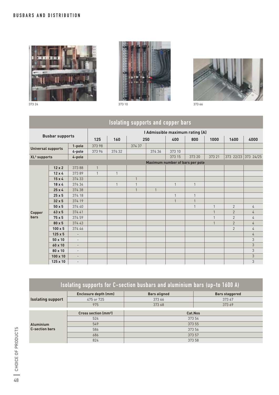![](_page_25_Picture_1.jpeg)

![](_page_25_Picture_2.jpeg)

![](_page_25_Picture_3.jpeg)

| <b>Isolating supports and copper bars</b> |                 |                          |                                 |              |              |              |              |                                 |              |                |                     |
|-------------------------------------------|-----------------|--------------------------|---------------------------------|--------------|--------------|--------------|--------------|---------------------------------|--------------|----------------|---------------------|
| <b>Busbar supports</b>                    |                 |                          | I Admissible maximum rating (A) |              |              |              |              |                                 |              |                |                     |
|                                           |                 |                          | 125                             | 160          |              | 250          | 400          | 800                             | 1000         | 1600           | 4000                |
| <b>Universal supports</b>                 |                 | 1-pole                   | 373 98                          |              | 374 37       |              |              |                                 |              |                |                     |
|                                           |                 | 4-pole                   | 37396                           | 374 32       |              | 374 36       | 373 10       |                                 |              |                |                     |
| XL <sup>3</sup> supports                  |                 | 4-pole                   |                                 |              |              |              | 373 15       | 373 20                          | 373 21       |                | 373 22/23 373 24/25 |
|                                           |                 |                          |                                 |              |              |              |              | Maximum number of bars per pole |              |                |                     |
|                                           | $12 \times 2$   | 37388                    | $\mathbf{1}$                    |              |              |              |              |                                 |              |                |                     |
|                                           | $12 \times 4$   | 37389                    | $\mathbf{1}$                    | $\mathbf{1}$ |              |              |              |                                 |              |                |                     |
|                                           | $15 \times 4$   | 374 33                   |                                 |              | $\mathbf{1}$ |              |              |                                 |              |                |                     |
|                                           | $18 \times 4$   | 374 34                   |                                 | 1            | $\mathbf{1}$ |              | $\mathbf{1}$ | $\mathbf{1}$                    |              |                |                     |
|                                           | $25 \times 4$   | 374 38                   |                                 |              | $\mathbf{1}$ | $\mathbf{1}$ |              |                                 |              |                |                     |
|                                           | $25 \times 5$   | 374 18                   |                                 |              |              |              | $\mathbf{1}$ | $\mathbf{1}$                    |              |                |                     |
|                                           | $32 \times 5$   | 374 19                   |                                 |              |              |              | $\mathbf{1}$ | $\mathbf{1}$                    |              |                |                     |
|                                           | $50 \times 5$   | 374 40                   |                                 |              |              |              |              | 1                               | $\mathbf{1}$ | $\overline{2}$ | $\overline{4}$      |
| Copper                                    | $63 \times 5$   | 37441                    |                                 |              |              |              |              |                                 | $\mathbf{1}$ | $\overline{2}$ | $\overline{4}$      |
| <b>bars</b>                               | 75x5            | 374 59                   |                                 |              |              |              |              |                                 | $\mathbf{1}$ | $\overline{2}$ | $\overline{4}$      |
|                                           | $80 \times 5$   | 374 43                   |                                 |              |              |              |              |                                 | $\mathbf{1}$ | $\overline{2}$ | $\overline{4}$      |
|                                           | $100 \times 5$  | 374 46                   |                                 |              |              |              |              |                                 |              | $\overline{2}$ | $\overline{4}$      |
|                                           | $125 \times 5$  | $\overline{a}$           |                                 |              |              |              |              |                                 |              |                | $\overline{4}$      |
|                                           | 50 x 10         | $\overline{\phantom{a}}$ |                                 |              |              |              |              |                                 |              |                | 3                   |
|                                           | 60 x 10         | $\sim$                   |                                 |              |              |              |              |                                 |              |                | 3                   |
|                                           | 80 x 10         | $\overline{\phantom{a}}$ |                                 |              |              |              |              |                                 |              |                | 3                   |
|                                           | $100 \times 10$ | $\overline{a}$           |                                 |              |              |              |              |                                 |              |                | 3                   |
|                                           | 125 x 10        | $\overline{a}$           |                                 |              |              |              |              |                                 |              |                | 3                   |

| Isolating supports for C-section busbars and aluminium bars (up-to 1600 A) |                                       |                     |                       |  |  |  |  |  |
|----------------------------------------------------------------------------|---------------------------------------|---------------------|-----------------------|--|--|--|--|--|
|                                                                            | Enclosure depth (mm)                  | <b>Bars aligned</b> | <b>Bars staggered</b> |  |  |  |  |  |
| <b>Isolating support</b>                                                   | 475 or 725                            | 37367<br>373 66     |                       |  |  |  |  |  |
|                                                                            | 975                                   | 373 68              | 37369                 |  |  |  |  |  |
|                                                                            |                                       |                     |                       |  |  |  |  |  |
|                                                                            | <b>Cross section (mm<sup>2</sup>)</b> | Cat.Nos             |                       |  |  |  |  |  |
|                                                                            | 524                                   | 373 54              |                       |  |  |  |  |  |
| <b>Aluminium</b>                                                           | 549                                   | 373 55              |                       |  |  |  |  |  |
| <b>C-section bars</b>                                                      | 586                                   | 373 56              |                       |  |  |  |  |  |
|                                                                            | 686                                   | 373 57              |                       |  |  |  |  |  |
|                                                                            | 824                                   | 373 58              |                       |  |  |  |  |  |